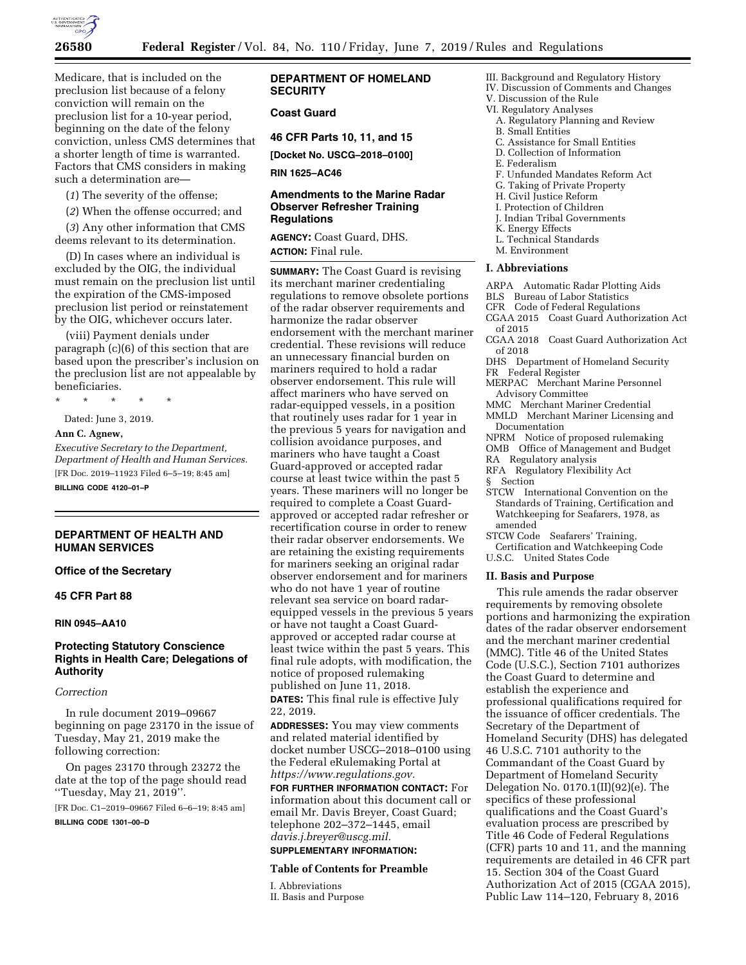

Medicare, that is included on the preclusion list because of a felony conviction will remain on the preclusion list for a 10-year period, beginning on the date of the felony conviction, unless CMS determines that a shorter length of time is warranted. Factors that CMS considers in making such a determination are—

(*1*) The severity of the offense;

(*2*) When the offense occurred; and

(*3*) Any other information that CMS deems relevant to its determination.

(D) In cases where an individual is excluded by the OIG, the individual must remain on the preclusion list until the expiration of the CMS-imposed preclusion list period or reinstatement by the OIG, whichever occurs later.

(viii) Payment denials under paragraph (c)(6) of this section that are based upon the prescriber's inclusion on the preclusion list are not appealable by beneficiaries.

\* \* \* \* \*

Dated: June 3, 2019.

#### **Ann C. Agnew,**

*Executive Secretary to the Department, Department of Health and Human Services.*  [FR Doc. 2019–11923 Filed 6–5–19; 8:45 am] **BILLING CODE 4120–01–P** 

## **DEPARTMENT OF HEALTH AND HUMAN SERVICES**

## **Office of the Secretary**

# **45 CFR Part 88**

#### **RIN 0945–AA10**

# **Protecting Statutory Conscience Rights in Health Care; Delegations of Authority**

## *Correction*

In rule document 2019–09667 beginning on page 23170 in the issue of Tuesday, May 21, 2019 make the following correction:

On pages 23170 through 23272 the date at the top of the page should read ''Tuesday, May 21, 2019''.

[FR Doc. C1–2019–09667 Filed 6–6–19; 8:45 am]

**BILLING CODE 1301–00–D** 

## **DEPARTMENT OF HOMELAND SECURITY**

## **Coast Guard**

**46 CFR Parts 10, 11, and 15** 

**[Docket No. USCG–2018–0100]** 

**RIN 1625–AC46** 

## **Amendments to the Marine Radar Observer Refresher Training Regulations**

**AGENCY:** Coast Guard, DHS. **ACTION:** Final rule.

**SUMMARY:** The Coast Guard is revising its merchant mariner credentialing regulations to remove obsolete portions of the radar observer requirements and harmonize the radar observer endorsement with the merchant mariner credential. These revisions will reduce an unnecessary financial burden on mariners required to hold a radar observer endorsement. This rule will affect mariners who have served on radar-equipped vessels, in a position that routinely uses radar for 1 year in the previous 5 years for navigation and collision avoidance purposes, and mariners who have taught a Coast Guard-approved or accepted radar course at least twice within the past 5 years. These mariners will no longer be required to complete a Coast Guardapproved or accepted radar refresher or recertification course in order to renew their radar observer endorsements. We are retaining the existing requirements for mariners seeking an original radar observer endorsement and for mariners who do not have 1 year of routine relevant sea service on board radarequipped vessels in the previous 5 years or have not taught a Coast Guardapproved or accepted radar course at least twice within the past 5 years. This final rule adopts, with modification, the notice of proposed rulemaking published on June 11, 2018.

**DATES:** This final rule is effective July 22, 2019.

**ADDRESSES:** You may view comments and related material identified by docket number USCG–2018–0100 using the Federal eRulemaking Portal at *[https://www.regulations.gov.](https://www.regulations.gov)* 

**FOR FURTHER INFORMATION CONTACT:** For information about this document call or email Mr. Davis Breyer, Coast Guard; telephone 202–372–1445, email *[davis.j.breyer@uscg.mil.](mailto:davis.j.breyer@uscg.mil)* 

# **SUPPLEMENTARY INFORMATION:**

#### **Table of Contents for Preamble**

I. Abbreviations

II. Basis and Purpose

# III. Background and Regulatory History

- IV. Discussion of Comments and Changes
- V. Discussion of the Rule
- VI. Regulatory Analyses
	- A. Regulatory Planning and Review
	- B. Small Entities
	- C. Assistance for Small Entities D. Collection of Information
	- E. Federalism
	-
	- F. Unfunded Mandates Reform Act
	- G. Taking of Private Property
	- H. Civil Justice Reform I. Protection of Children
	-
	- J. Indian Tribal Governments
	- K. Energy Effects
	- L. Technical Standards M. Environment

# **I. Abbreviations**

- ARPA Automatic Radar Plotting Aids
- BLS Bureau of Labor Statistics
- CFR Code of Federal Regulations
- CGAA 2015 Coast Guard Authorization Act of 2015
- CGAA 2018 Coast Guard Authorization Act of 2018
- DHS Department of Homeland Security
- FR Federal Register
- MERPAC Merchant Marine Personnel Advisory Committee
- MMC Merchant Mariner Credential
- MMLD Merchant Mariner Licensing and Documentation
- NPRM Notice of proposed rulemaking
- OMB Office of Management and Budget
- RA Regulatory analysis
- RFA Regulatory Flexibility Act
- § Section
- STCW International Convention on the Standards of Training, Certification and Watchkeeping for Seafarers, 1978, as amended
- STCW Code Seafarers' Training, Certification and Watchkeeping Code
- U.S.C. United States Code

#### **II. Basis and Purpose**

This rule amends the radar observer requirements by removing obsolete portions and harmonizing the expiration dates of the radar observer endorsement and the merchant mariner credential (MMC). Title 46 of the United States Code (U.S.C.), Section 7101 authorizes the Coast Guard to determine and establish the experience and professional qualifications required for the issuance of officer credentials. The Secretary of the Department of Homeland Security (DHS) has delegated 46 U.S.C. 7101 authority to the Commandant of the Coast Guard by Department of Homeland Security Delegation No. 0170.1(II)(92)(e). The specifics of these professional qualifications and the Coast Guard's evaluation process are prescribed by Title 46 Code of Federal Regulations (CFR) parts 10 and 11, and the manning requirements are detailed in 46 CFR part 15. Section 304 of the Coast Guard Authorization Act of 2015 (CGAA 2015), Public Law 114–120, February 8, 2016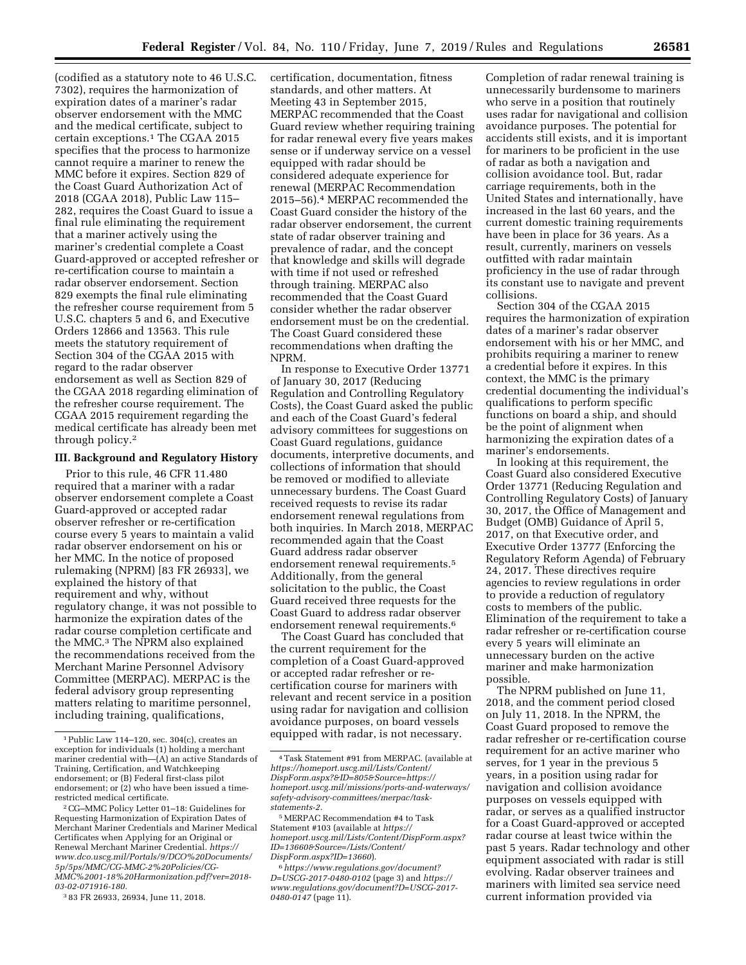(codified as a statutory note to 46 U.S.C. 7302), requires the harmonization of expiration dates of a mariner's radar observer endorsement with the MMC and the medical certificate, subject to certain exceptions.1 The CGAA 2015 specifies that the process to harmonize cannot require a mariner to renew the MMC before it expires. Section 829 of the Coast Guard Authorization Act of 2018 (CGAA 2018), Public Law 115– 282, requires the Coast Guard to issue a final rule eliminating the requirement that a mariner actively using the mariner's credential complete a Coast Guard-approved or accepted refresher or re-certification course to maintain a radar observer endorsement. Section 829 exempts the final rule eliminating the refresher course requirement from 5 U.S.C. chapters 5 and 6, and Executive Orders 12866 and 13563. This rule meets the statutory requirement of Section 304 of the CGAA 2015 with regard to the radar observer endorsement as well as Section 829 of the CGAA 2018 regarding elimination of the refresher course requirement. The CGAA 2015 requirement regarding the medical certificate has already been met through policy.2

#### **III. Background and Regulatory History**

Prior to this rule, 46 CFR 11.480 required that a mariner with a radar observer endorsement complete a Coast Guard-approved or accepted radar observer refresher or re-certification course every 5 years to maintain a valid radar observer endorsement on his or her MMC. In the notice of proposed rulemaking (NPRM) [83 FR 26933], we explained the history of that requirement and why, without regulatory change, it was not possible to harmonize the expiration dates of the radar course completion certificate and the MMC.3 The NPRM also explained the recommendations received from the Merchant Marine Personnel Advisory Committee (MERPAC). MERPAC is the federal advisory group representing matters relating to maritime personnel, including training, qualifications,

certification, documentation, fitness standards, and other matters. At Meeting 43 in September 2015, MERPAC recommended that the Coast Guard review whether requiring training for radar renewal every five years makes sense or if underway service on a vessel equipped with radar should be considered adequate experience for renewal (MERPAC Recommendation 2015–56).4 MERPAC recommended the Coast Guard consider the history of the radar observer endorsement, the current state of radar observer training and prevalence of radar, and the concept that knowledge and skills will degrade with time if not used or refreshed through training. MERPAC also recommended that the Coast Guard consider whether the radar observer endorsement must be on the credential. The Coast Guard considered these recommendations when drafting the NPRM.

In response to Executive Order 13771 of January 30, 2017 (Reducing Regulation and Controlling Regulatory Costs), the Coast Guard asked the public and each of the Coast Guard's federal advisory committees for suggestions on Coast Guard regulations, guidance documents, interpretive documents, and collections of information that should be removed or modified to alleviate unnecessary burdens. The Coast Guard received requests to revise its radar endorsement renewal regulations from both inquiries. In March 2018, MERPAC recommended again that the Coast Guard address radar observer endorsement renewal requirements.5 Additionally, from the general solicitation to the public, the Coast Guard received three requests for the Coast Guard to address radar observer endorsement renewal requirements.6

The Coast Guard has concluded that the current requirement for the completion of a Coast Guard-approved or accepted radar refresher or recertification course for mariners with relevant and recent service in a position using radar for navigation and collision avoidance purposes, on board vessels equipped with radar, is not necessary.

Completion of radar renewal training is unnecessarily burdensome to mariners who serve in a position that routinely uses radar for navigational and collision avoidance purposes. The potential for accidents still exists, and it is important for mariners to be proficient in the use of radar as both a navigation and collision avoidance tool. But, radar carriage requirements, both in the United States and internationally, have increased in the last 60 years, and the current domestic training requirements have been in place for 36 years. As a result, currently, mariners on vessels outfitted with radar maintain proficiency in the use of radar through its constant use to navigate and prevent collisions.

Section 304 of the CGAA 2015 requires the harmonization of expiration dates of a mariner's radar observer endorsement with his or her MMC, and prohibits requiring a mariner to renew a credential before it expires. In this context, the MMC is the primary credential documenting the individual's qualifications to perform specific functions on board a ship, and should be the point of alignment when harmonizing the expiration dates of a mariner's endorsements.

In looking at this requirement, the Coast Guard also considered Executive Order 13771 (Reducing Regulation and Controlling Regulatory Costs) of January 30, 2017, the Office of Management and Budget (OMB) Guidance of April 5, 2017, on that Executive order, and Executive Order 13777 (Enforcing the Regulatory Reform Agenda) of February 24, 2017. These directives require agencies to review regulations in order to provide a reduction of regulatory costs to members of the public. Elimination of the requirement to take a radar refresher or re-certification course every 5 years will eliminate an unnecessary burden on the active mariner and make harmonization possible.

The NPRM published on June 11, 2018, and the comment period closed on July 11, 2018. In the NPRM, the Coast Guard proposed to remove the radar refresher or re-certification course requirement for an active mariner who serves, for 1 year in the previous 5 years, in a position using radar for navigation and collision avoidance purposes on vessels equipped with radar, or serves as a qualified instructor for a Coast Guard-approved or accepted radar course at least twice within the past 5 years. Radar technology and other equipment associated with radar is still evolving. Radar observer trainees and mariners with limited sea service need current information provided via

<sup>1</sup>Public Law 114–120, sec. 304(c), creates an exception for individuals (1) holding a merchant mariner credential with—(A) an active Standards of Training, Certification, and Watchkeeping endorsement; or (B) Federal first-class pilot endorsement; or (2) who have been issued a timerestricted medical certificate.

<sup>2</sup>CG–MMC Policy Letter 01–18: Guidelines for Requesting Harmonization of Expiration Dates of Merchant Mariner Credentials and Mariner Medical Certificates when Applying for an Original or Renewal Merchant Mariner Credential. *[https://](https://www.dco.uscg.mil/Portals/9/DCO%20Documents/5p/5ps/MMC/CG-MMC-2%20Policies/CG-MMC%2001-18%20Harmonization.pdf?ver=2018-03-02-071916-180) [www.dco.uscg.mil/Portals/9/DCO%20Documents/](https://www.dco.uscg.mil/Portals/9/DCO%20Documents/5p/5ps/MMC/CG-MMC-2%20Policies/CG-MMC%2001-18%20Harmonization.pdf?ver=2018-03-02-071916-180)  [5p/5ps/MMC/CG-MMC-2%20Policies/CG-](https://www.dco.uscg.mil/Portals/9/DCO%20Documents/5p/5ps/MMC/CG-MMC-2%20Policies/CG-MMC%2001-18%20Harmonization.pdf?ver=2018-03-02-071916-180)[MMC%2001-18%20Harmonization.pdf?ver=2018-](https://www.dco.uscg.mil/Portals/9/DCO%20Documents/5p/5ps/MMC/CG-MMC-2%20Policies/CG-MMC%2001-18%20Harmonization.pdf?ver=2018-03-02-071916-180) [03-02-071916-180.](https://www.dco.uscg.mil/Portals/9/DCO%20Documents/5p/5ps/MMC/CG-MMC-2%20Policies/CG-MMC%2001-18%20Harmonization.pdf?ver=2018-03-02-071916-180)* 

<sup>3</sup> 83 FR 26933, 26934, June 11, 2018.

<sup>4</sup>Task Statement #91 from MERPAC. (available at *[https://homeport.uscg.mil/Lists/Content/](https://homeport.uscg.mil/Lists/Content/DispForm.aspx?&ID=805&Source=)  [DispForm.aspx?&ID=805&Source=](https://homeport.uscg.mil/Lists/Content/DispForm.aspx?&ID=805&Source=)[https://](https://homeport.uscg.mil/missions/ports-and-waterways/safety-advisory-committees/merpac/task-statements-2) [homeport.uscg.mil/missions/ports-and-waterways/](https://homeport.uscg.mil/missions/ports-and-waterways/safety-advisory-committees/merpac/task-statements-2)  [safety-advisory-committees/merpac/task](https://homeport.uscg.mil/missions/ports-and-waterways/safety-advisory-committees/merpac/task-statements-2)[statements-2.](https://homeport.uscg.mil/missions/ports-and-waterways/safety-advisory-committees/merpac/task-statements-2)* 

<sup>5</sup>MERPAC Recommendation #4 to Task Statement #103 (available at *[https://](https://homeport.uscg.mil/Lists/Content/DispForm.aspx?ID=13660&Source=/Lists/Content/DispForm.aspx?ID=13660) [homeport.uscg.mil/Lists/Content/DispForm.aspx?](https://homeport.uscg.mil/Lists/Content/DispForm.aspx?ID=13660&Source=/Lists/Content/DispForm.aspx?ID=13660) [ID=13660&Source=/Lists/Content/](https://homeport.uscg.mil/Lists/Content/DispForm.aspx?ID=13660&Source=/Lists/Content/DispForm.aspx?ID=13660)  [DispForm.aspx?ID=13660](https://homeport.uscg.mil/Lists/Content/DispForm.aspx?ID=13660&Source=/Lists/Content/DispForm.aspx?ID=13660)*).

<sup>6</sup>*[https://www.regulations.gov/document?](https://www.regulations.gov/document?D=USCG-2017-0480-0102) [D=USCG-2017-0480-0102](https://www.regulations.gov/document?D=USCG-2017-0480-0102)* (page 3) and *[https://](https://www.regulations.gov/document?D=USCG-2017-0480-0147) [www.regulations.gov/document?D=USCG-2017-](https://www.regulations.gov/document?D=USCG-2017-0480-0147)  [0480-0147](https://www.regulations.gov/document?D=USCG-2017-0480-0147)* (page 11).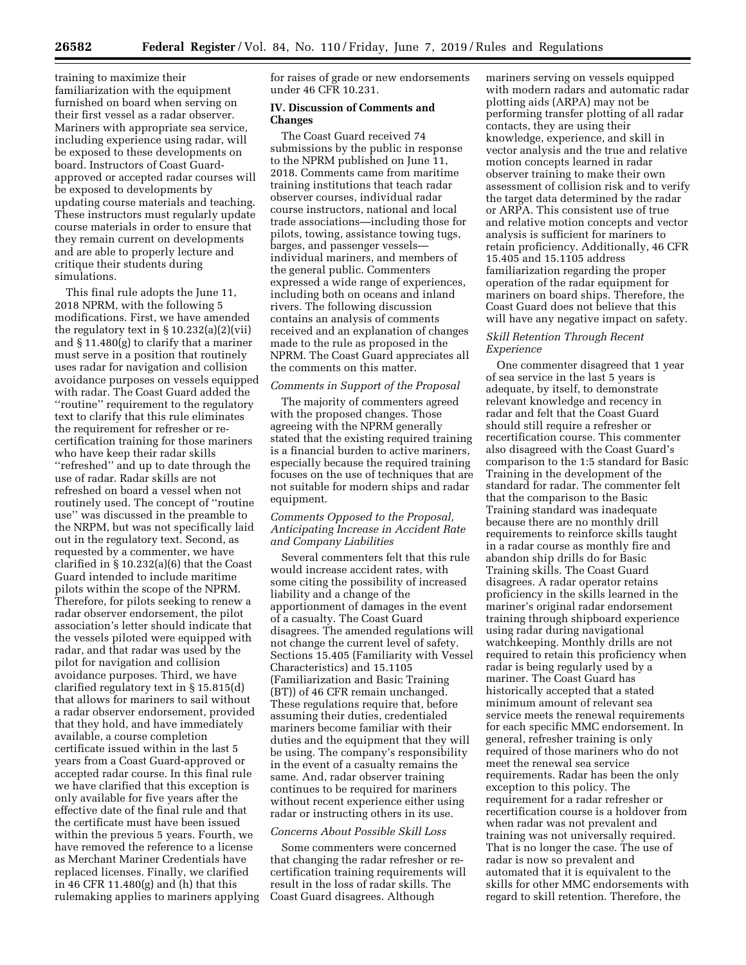training to maximize their familiarization with the equipment furnished on board when serving on their first vessel as a radar observer. Mariners with appropriate sea service, including experience using radar, will be exposed to these developments on board. Instructors of Coast Guardapproved or accepted radar courses will be exposed to developments by updating course materials and teaching. These instructors must regularly update course materials in order to ensure that they remain current on developments and are able to properly lecture and critique their students during simulations.

This final rule adopts the June 11, 2018 NPRM, with the following 5 modifications. First, we have amended the regulatory text in § 10.232(a)(2)(vii) and § 11.480(g) to clarify that a mariner must serve in a position that routinely uses radar for navigation and collision avoidance purposes on vessels equipped with radar. The Coast Guard added the ''routine'' requirement to the regulatory text to clarify that this rule eliminates the requirement for refresher or recertification training for those mariners who have keep their radar skills ''refreshed'' and up to date through the use of radar. Radar skills are not refreshed on board a vessel when not routinely used. The concept of ''routine use'' was discussed in the preamble to the NRPM, but was not specifically laid out in the regulatory text. Second, as requested by a commenter, we have clarified in § 10.232(a)(6) that the Coast Guard intended to include maritime pilots within the scope of the NPRM. Therefore, for pilots seeking to renew a radar observer endorsement, the pilot association's letter should indicate that the vessels piloted were equipped with radar, and that radar was used by the pilot for navigation and collision avoidance purposes. Third, we have clarified regulatory text in § 15.815(d) that allows for mariners to sail without a radar observer endorsement, provided that they hold, and have immediately available, a course completion certificate issued within in the last 5 years from a Coast Guard-approved or accepted radar course. In this final rule we have clarified that this exception is only available for five years after the effective date of the final rule and that the certificate must have been issued within the previous 5 years. Fourth, we have removed the reference to a license as Merchant Mariner Credentials have replaced licenses. Finally, we clarified in 46 CFR 11.480(g) and (h) that this rulemaking applies to mariners applying for raises of grade or new endorsements under 46 CFR 10.231.

## **IV. Discussion of Comments and Changes**

The Coast Guard received 74 submissions by the public in response to the NPRM published on June 11, 2018. Comments came from maritime training institutions that teach radar observer courses, individual radar course instructors, national and local trade associations—including those for pilots, towing, assistance towing tugs, barges, and passenger vessels individual mariners, and members of the general public. Commenters expressed a wide range of experiences, including both on oceans and inland rivers. The following discussion contains an analysis of comments received and an explanation of changes made to the rule as proposed in the NPRM. The Coast Guard appreciates all the comments on this matter.

#### *Comments in Support of the Proposal*

The majority of commenters agreed with the proposed changes. Those agreeing with the NPRM generally stated that the existing required training is a financial burden to active mariners, especially because the required training focuses on the use of techniques that are not suitable for modern ships and radar equipment.

## *Comments Opposed to the Proposal, Anticipating Increase in Accident Rate and Company Liabilities*

Several commenters felt that this rule would increase accident rates, with some citing the possibility of increased liability and a change of the apportionment of damages in the event of a casualty. The Coast Guard disagrees. The amended regulations will not change the current level of safety. Sections 15.405 (Familiarity with Vessel Characteristics) and 15.1105 (Familiarization and Basic Training (BT)) of 46 CFR remain unchanged. These regulations require that, before assuming their duties, credentialed mariners become familiar with their duties and the equipment that they will be using. The company's responsibility in the event of a casualty remains the same. And, radar observer training continues to be required for mariners without recent experience either using radar or instructing others in its use.

#### *Concerns About Possible Skill Loss*

Some commenters were concerned that changing the radar refresher or recertification training requirements will result in the loss of radar skills. The Coast Guard disagrees. Although

mariners serving on vessels equipped with modern radars and automatic radar plotting aids (ARPA) may not be performing transfer plotting of all radar contacts, they are using their knowledge, experience, and skill in vector analysis and the true and relative motion concepts learned in radar observer training to make their own assessment of collision risk and to verify the target data determined by the radar or ARPA. This consistent use of true and relative motion concepts and vector analysis is sufficient for mariners to retain proficiency. Additionally, 46 CFR 15.405 and 15.1105 address familiarization regarding the proper operation of the radar equipment for mariners on board ships. Therefore, the Coast Guard does not believe that this will have any negative impact on safety.

#### *Skill Retention Through Recent Experience*

One commenter disagreed that 1 year of sea service in the last 5 years is adequate, by itself, to demonstrate relevant knowledge and recency in radar and felt that the Coast Guard should still require a refresher or recertification course. This commenter also disagreed with the Coast Guard's comparison to the 1:5 standard for Basic Training in the development of the standard for radar. The commenter felt that the comparison to the Basic Training standard was inadequate because there are no monthly drill requirements to reinforce skills taught in a radar course as monthly fire and abandon ship drills do for Basic Training skills. The Coast Guard disagrees. A radar operator retains proficiency in the skills learned in the mariner's original radar endorsement training through shipboard experience using radar during navigational watchkeeping. Monthly drills are not required to retain this proficiency when radar is being regularly used by a mariner. The Coast Guard has historically accepted that a stated minimum amount of relevant sea service meets the renewal requirements for each specific MMC endorsement. In general, refresher training is only required of those mariners who do not meet the renewal sea service requirements. Radar has been the only exception to this policy. The requirement for a radar refresher or recertification course is a holdover from when radar was not prevalent and training was not universally required. That is no longer the case. The use of radar is now so prevalent and automated that it is equivalent to the skills for other MMC endorsements with regard to skill retention. Therefore, the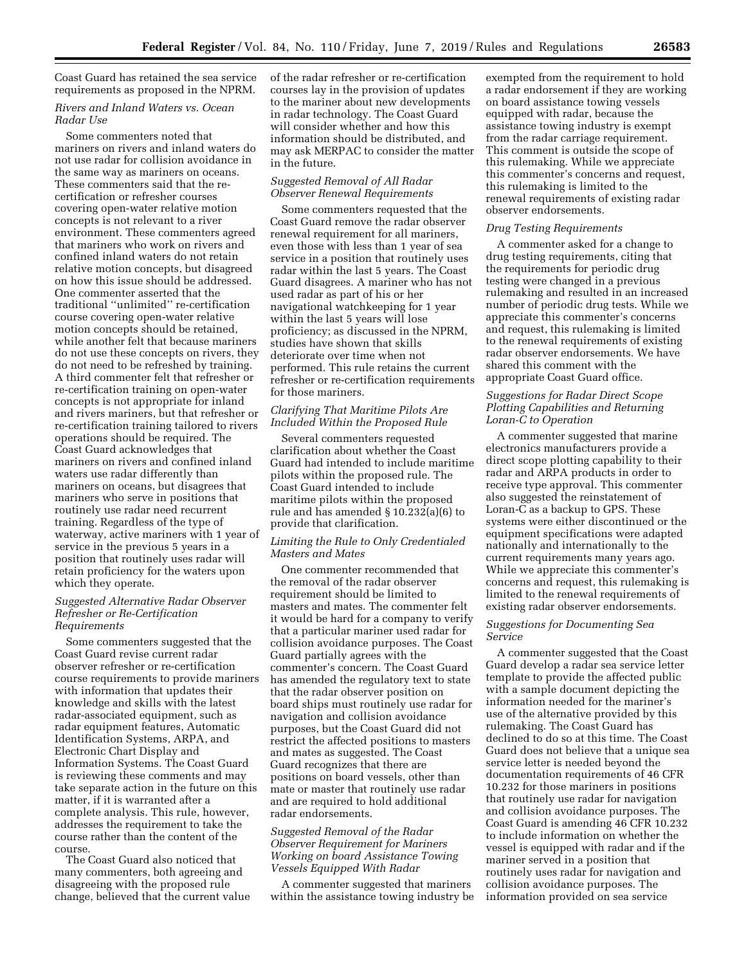Coast Guard has retained the sea service requirements as proposed in the NPRM.

## *Rivers and Inland Waters vs. Ocean Radar Use*

Some commenters noted that mariners on rivers and inland waters do not use radar for collision avoidance in the same way as mariners on oceans. These commenters said that the recertification or refresher courses covering open-water relative motion concepts is not relevant to a river environment. These commenters agreed that mariners who work on rivers and confined inland waters do not retain relative motion concepts, but disagreed on how this issue should be addressed. One commenter asserted that the traditional ''unlimited'' re-certification course covering open-water relative motion concepts should be retained, while another felt that because mariners do not use these concepts on rivers, they do not need to be refreshed by training. A third commenter felt that refresher or re-certification training on open-water concepts is not appropriate for inland and rivers mariners, but that refresher or re-certification training tailored to rivers operations should be required. The Coast Guard acknowledges that mariners on rivers and confined inland waters use radar differently than mariners on oceans, but disagrees that mariners who serve in positions that routinely use radar need recurrent training. Regardless of the type of waterway, active mariners with 1 year of service in the previous 5 years in a position that routinely uses radar will retain proficiency for the waters upon which they operate.

#### *Suggested Alternative Radar Observer Refresher or Re-Certification Requirements*

Some commenters suggested that the Coast Guard revise current radar observer refresher or re-certification course requirements to provide mariners with information that updates their knowledge and skills with the latest radar-associated equipment, such as radar equipment features, Automatic Identification Systems, ARPA, and Electronic Chart Display and Information Systems. The Coast Guard is reviewing these comments and may take separate action in the future on this matter, if it is warranted after a complete analysis. This rule, however, addresses the requirement to take the course rather than the content of the course.

The Coast Guard also noticed that many commenters, both agreeing and disagreeing with the proposed rule change, believed that the current value of the radar refresher or re-certification courses lay in the provision of updates to the mariner about new developments in radar technology. The Coast Guard will consider whether and how this information should be distributed, and may ask MERPAC to consider the matter in the future.

# *Suggested Removal of All Radar Observer Renewal Requirements*

Some commenters requested that the Coast Guard remove the radar observer renewal requirement for all mariners, even those with less than 1 year of sea service in a position that routinely uses radar within the last 5 years. The Coast Guard disagrees. A mariner who has not used radar as part of his or her navigational watchkeeping for 1 year within the last 5 years will lose proficiency; as discussed in the NPRM, studies have shown that skills deteriorate over time when not performed. This rule retains the current refresher or re-certification requirements for those mariners.

#### *Clarifying That Maritime Pilots Are Included Within the Proposed Rule*

Several commenters requested clarification about whether the Coast Guard had intended to include maritime pilots within the proposed rule. The Coast Guard intended to include maritime pilots within the proposed rule and has amended § 10.232(a)(6) to provide that clarification.

## *Limiting the Rule to Only Credentialed Masters and Mates*

One commenter recommended that the removal of the radar observer requirement should be limited to masters and mates. The commenter felt it would be hard for a company to verify that a particular mariner used radar for collision avoidance purposes. The Coast Guard partially agrees with the commenter's concern. The Coast Guard has amended the regulatory text to state that the radar observer position on board ships must routinely use radar for navigation and collision avoidance purposes, but the Coast Guard did not restrict the affected positions to masters and mates as suggested. The Coast Guard recognizes that there are positions on board vessels, other than mate or master that routinely use radar and are required to hold additional radar endorsements.

## *Suggested Removal of the Radar Observer Requirement for Mariners Working on board Assistance Towing Vessels Equipped With Radar*

A commenter suggested that mariners within the assistance towing industry be

exempted from the requirement to hold a radar endorsement if they are working on board assistance towing vessels equipped with radar, because the assistance towing industry is exempt from the radar carriage requirement. This comment is outside the scope of this rulemaking. While we appreciate this commenter's concerns and request, this rulemaking is limited to the renewal requirements of existing radar observer endorsements.

## *Drug Testing Requirements*

A commenter asked for a change to drug testing requirements, citing that the requirements for periodic drug testing were changed in a previous rulemaking and resulted in an increased number of periodic drug tests. While we appreciate this commenter's concerns and request, this rulemaking is limited to the renewal requirements of existing radar observer endorsements. We have shared this comment with the appropriate Coast Guard office.

## *Suggestions for Radar Direct Scope Plotting Capabilities and Returning Loran-C to Operation*

A commenter suggested that marine electronics manufacturers provide a direct scope plotting capability to their radar and ARPA products in order to receive type approval. This commenter also suggested the reinstatement of Loran-C as a backup to GPS. These systems were either discontinued or the equipment specifications were adapted nationally and internationally to the current requirements many years ago. While we appreciate this commenter's concerns and request, this rulemaking is limited to the renewal requirements of existing radar observer endorsements.

#### *Suggestions for Documenting Sea Service*

A commenter suggested that the Coast Guard develop a radar sea service letter template to provide the affected public with a sample document depicting the information needed for the mariner's use of the alternative provided by this rulemaking. The Coast Guard has declined to do so at this time. The Coast Guard does not believe that a unique sea service letter is needed beyond the documentation requirements of 46 CFR 10.232 for those mariners in positions that routinely use radar for navigation and collision avoidance purposes. The Coast Guard is amending 46 CFR 10.232 to include information on whether the vessel is equipped with radar and if the mariner served in a position that routinely uses radar for navigation and collision avoidance purposes. The information provided on sea service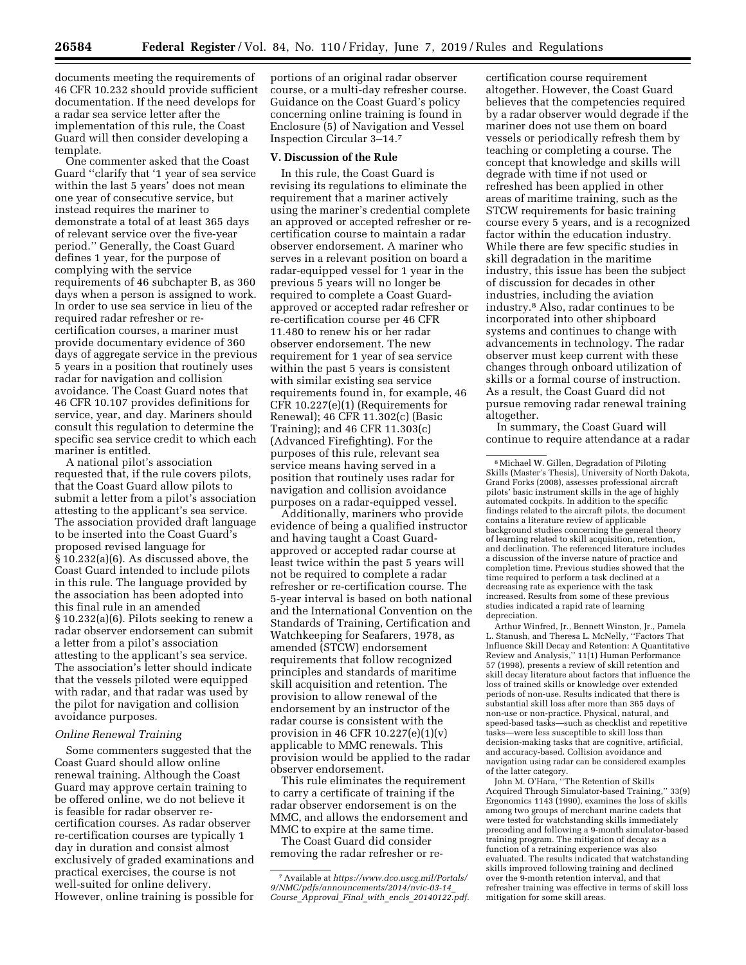documents meeting the requirements of 46 CFR 10.232 should provide sufficient documentation. If the need develops for a radar sea service letter after the implementation of this rule, the Coast Guard will then consider developing a template.

One commenter asked that the Coast Guard ''clarify that '1 year of sea service within the last 5 years' does not mean one year of consecutive service, but instead requires the mariner to demonstrate a total of at least 365 days of relevant service over the five-year period.'' Generally, the Coast Guard defines 1 year, for the purpose of complying with the service requirements of 46 subchapter B, as 360 days when a person is assigned to work. In order to use sea service in lieu of the required radar refresher or recertification courses, a mariner must provide documentary evidence of 360 days of aggregate service in the previous 5 years in a position that routinely uses radar for navigation and collision avoidance. The Coast Guard notes that 46 CFR 10.107 provides definitions for service, year, and day. Mariners should consult this regulation to determine the specific sea service credit to which each mariner is entitled.

A national pilot's association requested that, if the rule covers pilots, that the Coast Guard allow pilots to submit a letter from a pilot's association attesting to the applicant's sea service. The association provided draft language to be inserted into the Coast Guard's proposed revised language for § 10.232(a)(6). As discussed above, the Coast Guard intended to include pilots in this rule. The language provided by the association has been adopted into this final rule in an amended § 10.232(a)(6). Pilots seeking to renew a radar observer endorsement can submit a letter from a pilot's association attesting to the applicant's sea service. The association's letter should indicate that the vessels piloted were equipped with radar, and that radar was used by the pilot for navigation and collision avoidance purposes.

## *Online Renewal Training*

Some commenters suggested that the Coast Guard should allow online renewal training. Although the Coast Guard may approve certain training to be offered online, we do not believe it is feasible for radar observer recertification courses. As radar observer re-certification courses are typically 1 day in duration and consist almost exclusively of graded examinations and practical exercises, the course is not well-suited for online delivery. However, online training is possible for

portions of an original radar observer course, or a multi-day refresher course. Guidance on the Coast Guard's policy concerning online training is found in Enclosure (5) of Navigation and Vessel Inspection Circular 3–14.7

#### **V. Discussion of the Rule**

In this rule, the Coast Guard is revising its regulations to eliminate the requirement that a mariner actively using the mariner's credential complete an approved or accepted refresher or recertification course to maintain a radar observer endorsement. A mariner who serves in a relevant position on board a radar-equipped vessel for 1 year in the previous 5 years will no longer be required to complete a Coast Guardapproved or accepted radar refresher or re-certification course per 46 CFR 11.480 to renew his or her radar observer endorsement. The new requirement for 1 year of sea service within the past 5 years is consistent with similar existing sea service requirements found in, for example, 46 CFR 10.227(e)(1) (Requirements for Renewal); 46 CFR 11.302(c) (Basic Training); and 46 CFR 11.303(c) (Advanced Firefighting). For the purposes of this rule, relevant sea service means having served in a position that routinely uses radar for navigation and collision avoidance purposes on a radar-equipped vessel.

Additionally, mariners who provide evidence of being a qualified instructor and having taught a Coast Guardapproved or accepted radar course at least twice within the past 5 years will not be required to complete a radar refresher or re-certification course. The 5-year interval is based on both national and the International Convention on the Standards of Training, Certification and Watchkeeping for Seafarers, 1978, as amended (STCW) endorsement requirements that follow recognized principles and standards of maritime skill acquisition and retention. The provision to allow renewal of the endorsement by an instructor of the radar course is consistent with the provision in 46 CFR  $10.227(e)(1)(v)$ applicable to MMC renewals. This provision would be applied to the radar observer endorsement.

This rule eliminates the requirement to carry a certificate of training if the radar observer endorsement is on the MMC, and allows the endorsement and MMC to expire at the same time.

The Coast Guard did consider removing the radar refresher or re-

certification course requirement altogether. However, the Coast Guard believes that the competencies required by a radar observer would degrade if the mariner does not use them on board vessels or periodically refresh them by teaching or completing a course. The concept that knowledge and skills will degrade with time if not used or refreshed has been applied in other areas of maritime training, such as the STCW requirements for basic training course every 5 years, and is a recognized factor within the education industry. While there are few specific studies in skill degradation in the maritime industry, this issue has been the subject of discussion for decades in other industries, including the aviation industry.8 Also, radar continues to be incorporated into other shipboard systems and continues to change with advancements in technology. The radar observer must keep current with these changes through onboard utilization of skills or a formal course of instruction. As a result, the Coast Guard did not pursue removing radar renewal training altogether.

In summary, the Coast Guard will continue to require attendance at a radar

8Michael W. Gillen, Degradation of Piloting Skills (Master's Thesis), University of North Dakota, Grand Forks (2008), assesses professional aircraft pilots' basic instrument skills in the age of highly automated cockpits. In addition to the specific findings related to the aircraft pilots, the document contains a literature review of applicable background studies concerning the general theory of learning related to skill acquisition, retention, and declination. The referenced literature includes a discussion of the inverse nature of practice and completion time. Previous studies showed that the time required to perform a task declined at a decreasing rate as experience with the task increased. Results from some of these previous studies indicated a rapid rate of learning depreciation.

Arthur Winfred, Jr., Bennett Winston, Jr., Pamela L. Stanush, and Theresa L. McNelly, ''Factors That Influence Skill Decay and Retention: A Quantitative Review and Analysis,'' 11(1) Human Performance 57 (1998), presents a review of skill retention and skill decay literature about factors that influence the loss of trained skills or knowledge over extended periods of non-use. Results indicated that there is substantial skill loss after more than 365 days of non-use or non-practice. Physical, natural, and speed-based tasks—such as checklist and repetitive tasks—were less susceptible to skill loss than decision-making tasks that are cognitive, artificial, and accuracy-based. Collision avoidance and navigation using radar can be considered examples of the latter category.

John M. O'Hara, ''The Retention of Skills Acquired Through Simulator-based Training,'' 33(9) Ergonomics 1143 (1990), examines the loss of skills among two groups of merchant marine cadets that were tested for watchstanding skills immediately preceding and following a 9-month simulator-based training program. The mitigation of decay as a function of a retraining experience was also evaluated. The results indicated that watchstanding skills improved following training and declined over the 9-month retention interval, and that refresher training was effective in terms of skill loss mitigation for some skill areas.

<sup>7</sup>Available at *[https://www.dco.uscg.mil/Portals/](https://www.dco.uscg.mil/Portals/9/NMC/pdfs/announcements/2014/nvic-03-14_Course_Approval_Final_with_encls_20140122.pdf)  [9/NMC/pdfs/announcements/2014/nvic-03-14](https://www.dco.uscg.mil/Portals/9/NMC/pdfs/announcements/2014/nvic-03-14_Course_Approval_Final_with_encls_20140122.pdf)*\_ *Course*\_*Approval*\_*Final*\_*with*\_*encls*\_*[20140122.pdf.](https://www.dco.uscg.mil/Portals/9/NMC/pdfs/announcements/2014/nvic-03-14_Course_Approval_Final_with_encls_20140122.pdf)*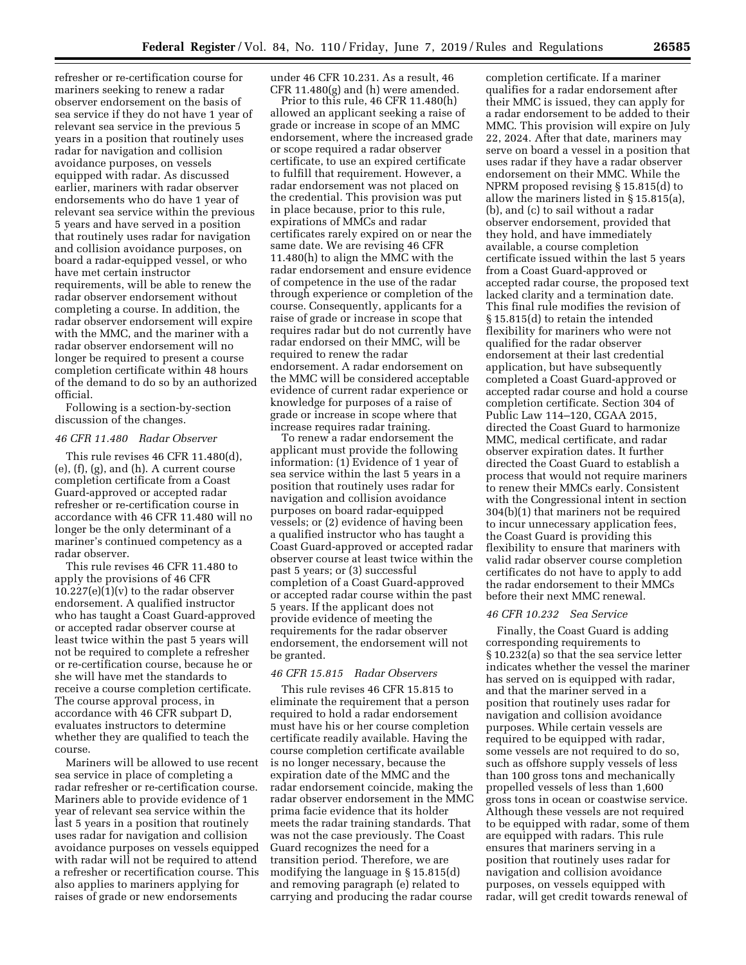refresher or re-certification course for mariners seeking to renew a radar observer endorsement on the basis of sea service if they do not have 1 year of relevant sea service in the previous 5 years in a position that routinely uses radar for navigation and collision avoidance purposes, on vessels equipped with radar. As discussed earlier, mariners with radar observer endorsements who do have 1 year of relevant sea service within the previous 5 years and have served in a position that routinely uses radar for navigation and collision avoidance purposes, on board a radar-equipped vessel, or who have met certain instructor requirements, will be able to renew the radar observer endorsement without completing a course. In addition, the radar observer endorsement will expire with the MMC, and the mariner with a radar observer endorsement will no longer be required to present a course completion certificate within 48 hours of the demand to do so by an authorized official.

Following is a section-by-section discussion of the changes.

#### *46 CFR 11.480 Radar Observer*

This rule revises 46 CFR 11.480(d), (e), (f), (g), and (h). A current course completion certificate from a Coast Guard-approved or accepted radar refresher or re-certification course in accordance with 46 CFR 11.480 will no longer be the only determinant of a mariner's continued competency as a radar observer.

This rule revises 46 CFR 11.480 to apply the provisions of 46 CFR  $10.227(e)(1)(v)$  to the radar observer endorsement. A qualified instructor who has taught a Coast Guard-approved or accepted radar observer course at least twice within the past 5 years will not be required to complete a refresher or re-certification course, because he or she will have met the standards to receive a course completion certificate. The course approval process, in accordance with 46 CFR subpart D, evaluates instructors to determine whether they are qualified to teach the course.

Mariners will be allowed to use recent sea service in place of completing a radar refresher or re-certification course. Mariners able to provide evidence of 1 year of relevant sea service within the last 5 years in a position that routinely uses radar for navigation and collision avoidance purposes on vessels equipped with radar will not be required to attend a refresher or recertification course. This also applies to mariners applying for raises of grade or new endorsements

under 46 CFR 10.231. As a result, 46 CFR 11.480(g) and (h) were amended.

Prior to this rule, 46 CFR 11.480(h) allowed an applicant seeking a raise of grade or increase in scope of an MMC endorsement, where the increased grade or scope required a radar observer certificate, to use an expired certificate to fulfill that requirement. However, a radar endorsement was not placed on the credential. This provision was put in place because, prior to this rule, expirations of MMCs and radar certificates rarely expired on or near the same date. We are revising 46 CFR 11.480(h) to align the MMC with the radar endorsement and ensure evidence of competence in the use of the radar through experience or completion of the course. Consequently, applicants for a raise of grade or increase in scope that requires radar but do not currently have radar endorsed on their MMC, will be required to renew the radar endorsement. A radar endorsement on the MMC will be considered acceptable evidence of current radar experience or knowledge for purposes of a raise of grade or increase in scope where that increase requires radar training.

To renew a radar endorsement the applicant must provide the following information: (1) Evidence of 1 year of sea service within the last 5 years in a position that routinely uses radar for navigation and collision avoidance purposes on board radar-equipped vessels; or (2) evidence of having been a qualified instructor who has taught a Coast Guard-approved or accepted radar observer course at least twice within the past 5 years; or (3) successful completion of a Coast Guard-approved or accepted radar course within the past 5 years. If the applicant does not provide evidence of meeting the requirements for the radar observer endorsement, the endorsement will not be granted.

## *46 CFR 15.815 Radar Observers*

This rule revises 46 CFR 15.815 to eliminate the requirement that a person required to hold a radar endorsement must have his or her course completion certificate readily available. Having the course completion certificate available is no longer necessary, because the expiration date of the MMC and the radar endorsement coincide, making the radar observer endorsement in the MMC prima facie evidence that its holder meets the radar training standards. That was not the case previously. The Coast Guard recognizes the need for a transition period. Therefore, we are modifying the language in § 15.815(d) and removing paragraph (e) related to carrying and producing the radar course

completion certificate. If a mariner qualifies for a radar endorsement after their MMC is issued, they can apply for a radar endorsement to be added to their MMC. This provision will expire on July 22, 2024. After that date, mariners may serve on board a vessel in a position that uses radar if they have a radar observer endorsement on their MMC. While the NPRM proposed revising § 15.815(d) to allow the mariners listed in § 15.815(a), (b), and (c) to sail without a radar observer endorsement, provided that they hold, and have immediately available, a course completion certificate issued within the last 5 years from a Coast Guard-approved or accepted radar course, the proposed text lacked clarity and a termination date. This final rule modifies the revision of § 15.815(d) to retain the intended flexibility for mariners who were not qualified for the radar observer endorsement at their last credential application, but have subsequently completed a Coast Guard-approved or accepted radar course and hold a course completion certificate. Section 304 of Public Law 114–120, CGAA 2015, directed the Coast Guard to harmonize MMC, medical certificate, and radar observer expiration dates. It further directed the Coast Guard to establish a process that would not require mariners to renew their MMCs early. Consistent with the Congressional intent in section 304(b)(1) that mariners not be required to incur unnecessary application fees, the Coast Guard is providing this flexibility to ensure that mariners with valid radar observer course completion certificates do not have to apply to add the radar endorsement to their MMCs before their next MMC renewal.

## *46 CFR 10.232 Sea Service*

Finally, the Coast Guard is adding corresponding requirements to § 10.232(a) so that the sea service letter indicates whether the vessel the mariner has served on is equipped with radar, and that the mariner served in a position that routinely uses radar for navigation and collision avoidance purposes. While certain vessels are required to be equipped with radar, some vessels are not required to do so, such as offshore supply vessels of less than 100 gross tons and mechanically propelled vessels of less than 1,600 gross tons in ocean or coastwise service. Although these vessels are not required to be equipped with radar, some of them are equipped with radars. This rule ensures that mariners serving in a position that routinely uses radar for navigation and collision avoidance purposes, on vessels equipped with radar, will get credit towards renewal of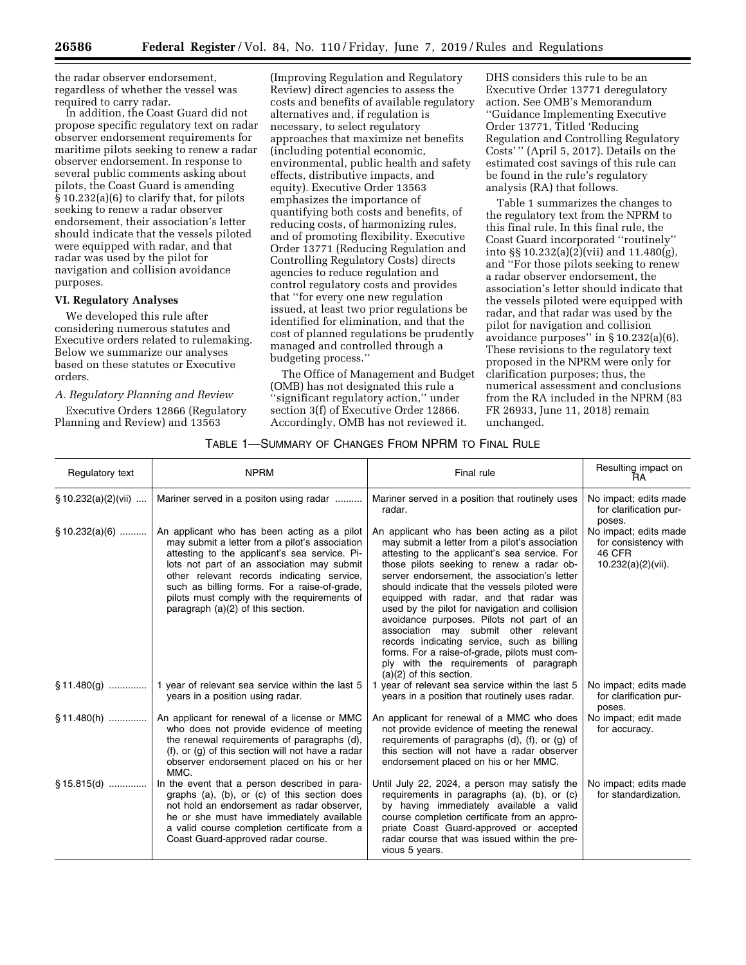the radar observer endorsement, regardless of whether the vessel was required to carry radar.

In addition, the Coast Guard did not propose specific regulatory text on radar observer endorsement requirements for maritime pilots seeking to renew a radar observer endorsement. In response to several public comments asking about pilots, the Coast Guard is amending § 10.232(a)(6) to clarify that, for pilots seeking to renew a radar observer endorsement, their association's letter should indicate that the vessels piloted were equipped with radar, and that radar was used by the pilot for navigation and collision avoidance purposes.

## **VI. Regulatory Analyses**

We developed this rule after considering numerous statutes and Executive orders related to rulemaking. Below we summarize our analyses based on these statutes or Executive orders.

## *A. Regulatory Planning and Review*

Executive Orders 12866 (Regulatory Planning and Review) and 13563

(Improving Regulation and Regulatory Review) direct agencies to assess the costs and benefits of available regulatory alternatives and, if regulation is necessary, to select regulatory approaches that maximize net benefits (including potential economic, environmental, public health and safety effects, distributive impacts, and equity). Executive Order 13563 emphasizes the importance of quantifying both costs and benefits, of reducing costs, of harmonizing rules, and of promoting flexibility. Executive Order 13771 (Reducing Regulation and Controlling Regulatory Costs) directs agencies to reduce regulation and control regulatory costs and provides that ''for every one new regulation issued, at least two prior regulations be identified for elimination, and that the cost of planned regulations be prudently managed and controlled through a budgeting process.''

The Office of Management and Budget (OMB) has not designated this rule a 'significant regulatory action," under section 3(f) of Executive Order 12866. Accordingly, OMB has not reviewed it.

DHS considers this rule to be an Executive Order 13771 deregulatory action. See OMB's Memorandum ''Guidance Implementing Executive Order 13771, Titled 'Reducing Regulation and Controlling Regulatory Costs' '' (April 5, 2017). Details on the estimated cost savings of this rule can be found in the rule's regulatory analysis (RA) that follows.

Table 1 summarizes the changes to the regulatory text from the NPRM to this final rule. In this final rule, the Coast Guard incorporated ''routinely'' into §§ 10.232(a)(2)(vii) and 11.480(g), and ''For those pilots seeking to renew a radar observer endorsement, the association's letter should indicate that the vessels piloted were equipped with radar, and that radar was used by the pilot for navigation and collision avoidance purposes'' in § 10.232(a)(6). These revisions to the regulatory text proposed in the NPRM were only for clarification purposes; thus, the numerical assessment and conclusions from the RA included in the NPRM (83 FR 26933, June 11, 2018) remain unchanged.

## TABLE 1—SUMMARY OF CHANGES FROM NPRM TO FINAL RULE

| Regulatory text        | <b>NPRM</b>                                                                                                                                                                                                                                                                                                                                                                      | Final rule                                                                                                                                                                                                                                                                                                                                                                                                                                                                                                                                                                                                                                             | Resulting impact on<br><b>RA</b>                                                 |
|------------------------|----------------------------------------------------------------------------------------------------------------------------------------------------------------------------------------------------------------------------------------------------------------------------------------------------------------------------------------------------------------------------------|--------------------------------------------------------------------------------------------------------------------------------------------------------------------------------------------------------------------------------------------------------------------------------------------------------------------------------------------------------------------------------------------------------------------------------------------------------------------------------------------------------------------------------------------------------------------------------------------------------------------------------------------------------|----------------------------------------------------------------------------------|
| $\S 10.232(a)(2)(vii)$ | Mariner served in a positon using radar                                                                                                                                                                                                                                                                                                                                          | Mariner served in a position that routinely uses<br>radar.                                                                                                                                                                                                                                                                                                                                                                                                                                                                                                                                                                                             | No impact; edits made<br>for clarification pur-<br>poses.                        |
| §10.232(a)(6)          | An applicant who has been acting as a pilot<br>may submit a letter from a pilot's association<br>attesting to the applicant's sea service. Pi-<br>lots not part of an association may submit<br>other relevant records indicating service,<br>such as billing forms. For a raise-of-grade,<br>pilots must comply with the requirements of<br>paragraph $(a)(2)$ of this section. | An applicant who has been acting as a pilot<br>may submit a letter from a pilot's association<br>attesting to the applicant's sea service. For<br>those pilots seeking to renew a radar ob-<br>server endorsement, the association's letter<br>should indicate that the vessels piloted were<br>equipped with radar, and that radar was<br>used by the pilot for navigation and collision<br>avoidance purposes. Pilots not part of an<br>association may submit other relevant<br>records indicating service, such as billing<br>forms. For a raise-of-grade, pilots must com-<br>ply with the requirements of paragraph<br>$(a)(2)$ of this section. | No impact; edits made<br>for consistency with<br>46 CFR<br>$10.232(a)(2)(vii)$ . |
| $\S 11.480(q)$         | 1 year of relevant sea service within the last 5<br>years in a position using radar.                                                                                                                                                                                                                                                                                             | 1 year of relevant sea service within the last 5<br>years in a position that routinely uses radar.                                                                                                                                                                                                                                                                                                                                                                                                                                                                                                                                                     | No impact; edits made<br>for clarification pur-<br>poses.                        |
| $$11.480(h)$           | An applicant for renewal of a license or MMC<br>who does not provide evidence of meeting<br>the renewal requirements of paragraphs (d),<br>$(f)$ , or $(g)$ of this section will not have a radar<br>observer endorsement placed on his or her<br>MMC.                                                                                                                           | An applicant for renewal of a MMC who does<br>not provide evidence of meeting the renewal<br>requirements of paragraphs (d), (f), or (g) of<br>this section will not have a radar observer<br>endorsement placed on his or her MMC.                                                                                                                                                                                                                                                                                                                                                                                                                    | No impact; edit made<br>for accuracy.                                            |
| $§ 15.815(d)$          | In the event that a person described in para-<br>graphs (a), (b), or (c) of this section does<br>not hold an endorsement as radar observer,<br>he or she must have immediately available<br>a valid course completion certificate from a<br>Coast Guard-approved radar course.                                                                                                   | Until July 22, 2024, a person may satisfy the<br>requirements in paragraphs (a), (b), or (c)<br>by having immediately available a valid<br>course completion certificate from an appro-<br>priate Coast Guard-approved or accepted<br>radar course that was issued within the pre-<br>vious 5 years.                                                                                                                                                                                                                                                                                                                                                   | No impact; edits made<br>for standardization.                                    |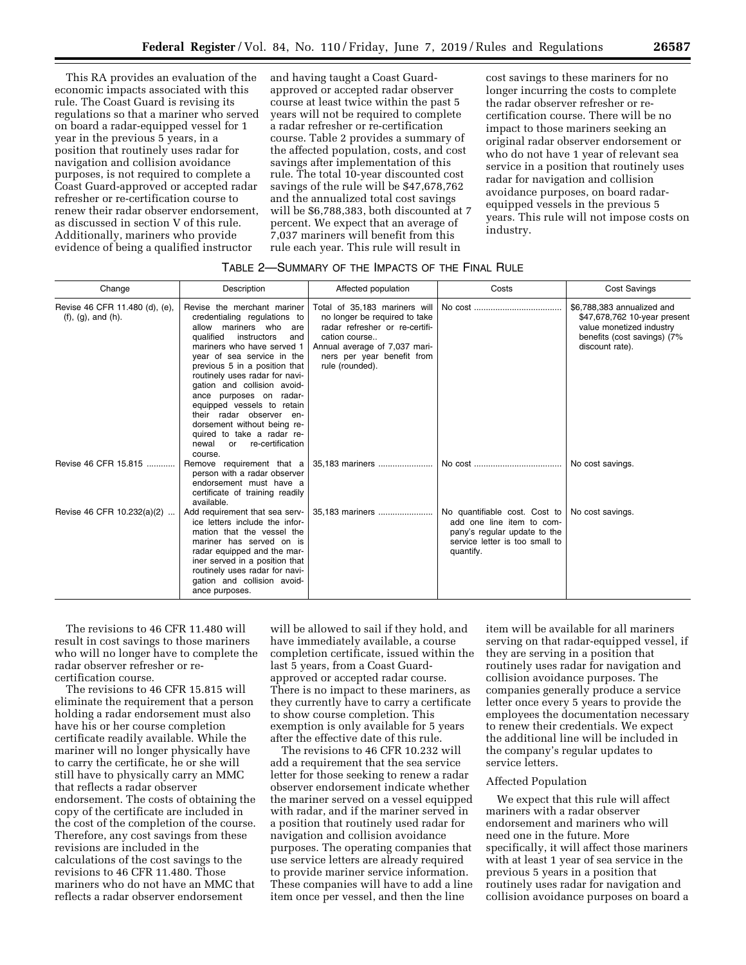This RA provides an evaluation of the economic impacts associated with this rule. The Coast Guard is revising its regulations so that a mariner who served on board a radar-equipped vessel for 1 year in the previous 5 years, in a position that routinely uses radar for navigation and collision avoidance purposes, is not required to complete a Coast Guard-approved or accepted radar refresher or re-certification course to renew their radar observer endorsement, as discussed in section V of this rule. Additionally, mariners who provide evidence of being a qualified instructor

and having taught a Coast Guardapproved or accepted radar observer course at least twice within the past 5 years will not be required to complete a radar refresher or re-certification course. Table 2 provides a summary of the affected population, costs, and cost savings after implementation of this rule. The total 10-year discounted cost savings of the rule will be \$47,678,762 and the annualized total cost savings will be \$6,788,383, both discounted at 7 percent. We expect that an average of 7,037 mariners will benefit from this rule each year. This rule will result in

cost savings to these mariners for no longer incurring the costs to complete the radar observer refresher or recertification course. There will be no impact to those mariners seeking an original radar observer endorsement or who do not have 1 year of relevant sea service in a position that routinely uses radar for navigation and collision avoidance purposes, on board radarequipped vessels in the previous 5 years. This rule will not impose costs on industry.

#### TABLE 2—SUMMARY OF THE IMPACTS OF THE FINAL RULE

| Change                                                        | Description                                                                                                                                                                                                                                                                                                                                                                                                                                                                               | Affected population                                                                                                                                                                                 | Costs                                                                                                                                     | <b>Cost Savings</b>                                                                                                                      |
|---------------------------------------------------------------|-------------------------------------------------------------------------------------------------------------------------------------------------------------------------------------------------------------------------------------------------------------------------------------------------------------------------------------------------------------------------------------------------------------------------------------------------------------------------------------------|-----------------------------------------------------------------------------------------------------------------------------------------------------------------------------------------------------|-------------------------------------------------------------------------------------------------------------------------------------------|------------------------------------------------------------------------------------------------------------------------------------------|
| Revise 46 CFR 11.480 (d), (e),<br>$(f)$ , $(g)$ , and $(h)$ . | Revise the merchant mariner<br>credentialing regulations to<br>allow mariners who<br>are<br>qualified<br>instructors<br>and<br>mariners who have served 1<br>year of sea service in the<br>previous 5 in a position that<br>routinely uses radar for navi-<br>gation and collision avoid-<br>ance purposes on radar-<br>equipped vessels to retain<br>their radar observer en-<br>dorsement without being re-<br>quired to take a radar re-<br>re-certification<br>newal<br>or<br>course. | Total of 35,183 mariners will<br>no longer be required to take<br>radar refresher or re-certifi-<br>cation course<br>Annual average of 7,037 mari-<br>ners per year benefit from<br>rule (rounded). | No cost                                                                                                                                   | \$6,788,383 annualized and<br>\$47,678,762 10-year present<br>value monetized industry<br>benefits (cost savings) (7%<br>discount rate). |
| Revise 46 CFR 15.815                                          | Remove requirement that a<br>person with a radar observer<br>endorsement must have a<br>certificate of training readily<br>available.                                                                                                                                                                                                                                                                                                                                                     | 35,183 mariners                                                                                                                                                                                     |                                                                                                                                           | No cost savings.                                                                                                                         |
| Revise 46 CFR 10.232(a)(2)                                    | Add requirement that sea serv-<br>ice letters include the infor-<br>mation that the vessel the<br>mariner has served on is<br>radar equipped and the mar-<br>iner served in a position that<br>routinely uses radar for navi-<br>gation and collision avoid-<br>ance purposes.                                                                                                                                                                                                            | 35,183 mariners                                                                                                                                                                                     | No quantifiable cost. Cost to<br>add one line item to com-<br>pany's regular update to the<br>service letter is too small to<br>quantify. | No cost savings.                                                                                                                         |

The revisions to 46 CFR 11.480 will result in cost savings to those mariners who will no longer have to complete the radar observer refresher or recertification course.

The revisions to 46 CFR 15.815 will eliminate the requirement that a person holding a radar endorsement must also have his or her course completion certificate readily available. While the mariner will no longer physically have to carry the certificate, he or she will still have to physically carry an MMC that reflects a radar observer endorsement. The costs of obtaining the copy of the certificate are included in the cost of the completion of the course. Therefore, any cost savings from these revisions are included in the calculations of the cost savings to the revisions to 46 CFR 11.480. Those mariners who do not have an MMC that reflects a radar observer endorsement

will be allowed to sail if they hold, and have immediately available, a course completion certificate, issued within the last 5 years, from a Coast Guardapproved or accepted radar course. There is no impact to these mariners, as they currently have to carry a certificate to show course completion. This exemption is only available for 5 years after the effective date of this rule.

The revisions to 46 CFR 10.232 will add a requirement that the sea service letter for those seeking to renew a radar observer endorsement indicate whether the mariner served on a vessel equipped with radar, and if the mariner served in a position that routinely used radar for navigation and collision avoidance purposes. The operating companies that use service letters are already required to provide mariner service information. These companies will have to add a line item once per vessel, and then the line

item will be available for all mariners serving on that radar-equipped vessel, if they are serving in a position that routinely uses radar for navigation and collision avoidance purposes. The companies generally produce a service letter once every 5 years to provide the employees the documentation necessary to renew their credentials. We expect the additional line will be included in the company's regular updates to service letters.

#### Affected Population

We expect that this rule will affect mariners with a radar observer endorsement and mariners who will need one in the future. More specifically, it will affect those mariners with at least 1 year of sea service in the previous 5 years in a position that routinely uses radar for navigation and collision avoidance purposes on board a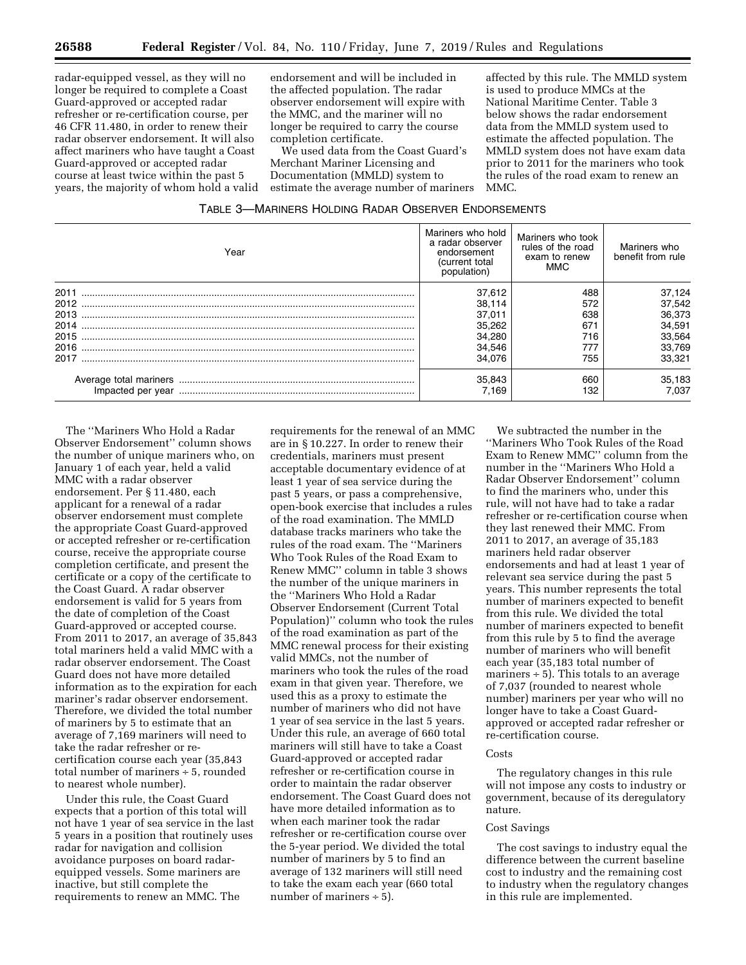radar-equipped vessel, as they will no longer be required to complete a Coast Guard-approved or accepted radar refresher or re-certification course, per 46 CFR 11.480, in order to renew their radar observer endorsement. It will also affect mariners who have taught a Coast Guard-approved or accepted radar course at least twice within the past 5 years, the majority of whom hold a valid

endorsement and will be included in the affected population. The radar observer endorsement will expire with the MMC, and the mariner will no longer be required to carry the course completion certificate.

We used data from the Coast Guard's Merchant Mariner Licensing and Documentation (MMLD) system to estimate the average number of mariners

affected by this rule. The MMLD system is used to produce MMCs at the National Maritime Center. Table 3 below shows the radar endorsement data from the MMLD system used to estimate the affected population. The MMLD system does not have exam data prior to 2011 for the mariners who took the rules of the road exam to renew an MMC.

| TABLE 3-MARINERS HOLDING RADAR OBSERVER ENDORSEMENTS |  |  |
|------------------------------------------------------|--|--|
|------------------------------------------------------|--|--|

| Year | Mariners who hold<br>a radar observer<br>endorsement<br>(current total<br>population) | Mariners who took<br>rules of the road<br>exam to renew<br><b>MMC</b> | Mariners who<br>benefit from rule |
|------|---------------------------------------------------------------------------------------|-----------------------------------------------------------------------|-----------------------------------|
| 2011 | 37.612                                                                                | 488                                                                   | 37,124                            |
| 2012 | 38,114                                                                                | 572                                                                   | 37.542                            |
| 2013 | 37.011                                                                                | 638                                                                   | 36,373                            |
| 2014 | 35,262                                                                                | 671                                                                   | 34,591                            |
| 2015 | 34,280                                                                                | 716                                                                   | 33,564                            |
| 2016 | 34,546                                                                                | 777                                                                   | 33.769                            |
| 2017 | 34.076                                                                                | 755                                                                   | 33.321                            |
|      | 35,843<br>7.169                                                                       | 660<br>132                                                            | 35,183<br>7.037                   |

The ''Mariners Who Hold a Radar Observer Endorsement'' column shows the number of unique mariners who, on January 1 of each year, held a valid MMC with a radar observer endorsement. Per § 11.480, each applicant for a renewal of a radar observer endorsement must complete the appropriate Coast Guard-approved or accepted refresher or re-certification course, receive the appropriate course completion certificate, and present the certificate or a copy of the certificate to the Coast Guard. A radar observer endorsement is valid for 5 years from the date of completion of the Coast Guard-approved or accepted course. From 2011 to 2017, an average of 35,843 total mariners held a valid MMC with a radar observer endorsement. The Coast Guard does not have more detailed information as to the expiration for each mariner's radar observer endorsement. Therefore, we divided the total number of mariners by 5 to estimate that an average of 7,169 mariners will need to take the radar refresher or recertification course each year (35,843 total number of mariners ÷ 5, rounded to nearest whole number).

Under this rule, the Coast Guard expects that a portion of this total will not have 1 year of sea service in the last 5 years in a position that routinely uses radar for navigation and collision avoidance purposes on board radarequipped vessels. Some mariners are inactive, but still complete the requirements to renew an MMC. The

requirements for the renewal of an MMC are in § 10.227. In order to renew their credentials, mariners must present acceptable documentary evidence of at least 1 year of sea service during the past 5 years, or pass a comprehensive, open-book exercise that includes a rules of the road examination. The MMLD database tracks mariners who take the rules of the road exam. The ''Mariners Who Took Rules of the Road Exam to Renew MMC'' column in table 3 shows the number of the unique mariners in the ''Mariners Who Hold a Radar Observer Endorsement (Current Total Population)'' column who took the rules of the road examination as part of the MMC renewal process for their existing valid MMCs, not the number of mariners who took the rules of the road exam in that given year. Therefore, we used this as a proxy to estimate the number of mariners who did not have 1 year of sea service in the last 5 years. Under this rule, an average of 660 total mariners will still have to take a Coast Guard-approved or accepted radar refresher or re-certification course in order to maintain the radar observer endorsement. The Coast Guard does not have more detailed information as to when each mariner took the radar refresher or re-certification course over the 5-year period. We divided the total number of mariners by 5 to find an average of 132 mariners will still need to take the exam each year (660 total number of mariners  $\div$  5).

We subtracted the number in the ''Mariners Who Took Rules of the Road Exam to Renew MMC'' column from the number in the ''Mariners Who Hold a Radar Observer Endorsement'' column to find the mariners who, under this rule, will not have had to take a radar refresher or re-certification course when they last renewed their MMC. From 2011 to 2017, an average of 35,183 mariners held radar observer endorsements and had at least 1 year of relevant sea service during the past 5 years. This number represents the total number of mariners expected to benefit from this rule. We divided the total number of mariners expected to benefit from this rule by 5 to find the average number of mariners who will benefit each year (35,183 total number of mariners  $\div$  5). This totals to an average of 7,037 (rounded to nearest whole number) mariners per year who will no longer have to take a Coast Guardapproved or accepted radar refresher or re-certification course.

## Costs

The regulatory changes in this rule will not impose any costs to industry or government, because of its deregulatory nature.

#### Cost Savings

The cost savings to industry equal the difference between the current baseline cost to industry and the remaining cost to industry when the regulatory changes in this rule are implemented.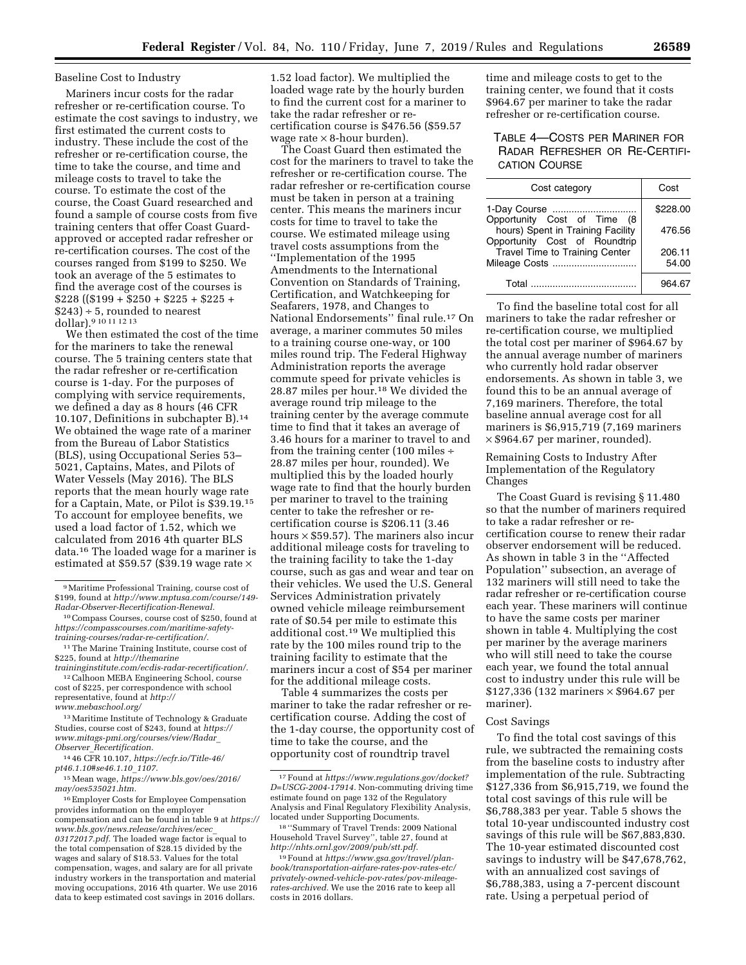#### Baseline Cost to Industry

Mariners incur costs for the radar refresher or re-certification course. To estimate the cost savings to industry, we first estimated the current costs to industry. These include the cost of the refresher or re-certification course, the time to take the course, and time and mileage costs to travel to take the course. To estimate the cost of the course, the Coast Guard researched and found a sample of course costs from five training centers that offer Coast Guardapproved or accepted radar refresher or re-certification courses. The cost of the courses ranged from \$199 to \$250. We took an average of the 5 estimates to find the average cost of the courses is  $$228$  ((\$199 + \$250 + \$225 + \$225 +  $$243$  ÷ 5, rounded to nearest dollar).9 10 11 12 13

We then estimated the cost of the time for the mariners to take the renewal course. The 5 training centers state that the radar refresher or re-certification course is 1-day. For the purposes of complying with service requirements, we defined a day as 8 hours (46 CFR 10.107, Definitions in subchapter B).14 We obtained the wage rate of a mariner from the Bureau of Labor Statistics (BLS), using Occupational Series 53– 5021, Captains, Mates, and Pilots of Water Vessels (May 2016). The BLS reports that the mean hourly wage rate for a Captain, Mate, or Pilot is \$39.19.15 To account for employee benefits, we used a load factor of 1.52, which we calculated from 2016 4th quarter BLS data.16 The loaded wage for a mariner is estimated at \$59.57 (\$39.19 wage rate  $\times$ 

*[traininginstitute.com/ecdis-radar-recertification/.](http://themarinetraininginstitute.com/ecdis-radar-recertification/)*  12Calhoon MEBA Engineering School, course cost of \$225, per correspondence with school representative, found at *[http://](http://www.mebaschool.org/)*

*[www.mebaschool.org/](http://www.mebaschool.org/)* 

13Maritime Institute of Technology & Graduate Studies, course cost of \$243, found at *[https://](https://www.mitags-pmi.org/courses/view/Radar_Observer_Recertification) [www.mitags-pmi.org/courses/view/Radar](https://www.mitags-pmi.org/courses/view/Radar_Observer_Recertification)*\_ *Observer*\_*[Recertification.](https://www.mitags-pmi.org/courses/view/Radar_Observer_Recertification)* 

14 46 CFR 10.107, *[https://ecfr.io/Title-46/](https://ecfr.io/Title-46/pt46.1.10#se46.1.10_1107) [pt46.1.10#se46.1.10](https://ecfr.io/Title-46/pt46.1.10#se46.1.10_1107)*\_*1107.* 

15Mean wage, *[https://www.bls.gov/oes/2016/](https://www.bls.gov/oes/2016/may/oes535021.htm) [may/oes535021.htm.](https://www.bls.gov/oes/2016/may/oes535021.htm)* 

16Employer Costs for Employee Compensation provides information on the employer compensation and can be found in table 9 at *[https://](https://www.bls.gov/news.release/archives/ecec_03172017.pdf)  [www.bls.gov/news.release/archives/ecec](https://www.bls.gov/news.release/archives/ecec_03172017.pdf)*\_ *[03172017.pdf.](https://www.bls.gov/news.release/archives/ecec_03172017.pdf)* The loaded wage factor is equal to the total compensation of \$28.15 divided by the wages and salary of \$18.53. Values for the total compensation, wages, and salary are for all private industry workers in the transportation and material moving occupations, 2016 4th quarter. We use 2016 data to keep estimated cost savings in 2016 dollars.

1.52 load factor). We multiplied the loaded wage rate by the hourly burden to find the current cost for a mariner to take the radar refresher or recertification course is \$476.56 (\$59.57 wage rate  $\times$  8-hour burden).

The Coast Guard then estimated the cost for the mariners to travel to take the refresher or re-certification course. The radar refresher or re-certification course must be taken in person at a training center. This means the mariners incur costs for time to travel to take the course. We estimated mileage using travel costs assumptions from the ''Implementation of the 1995 Amendments to the International Convention on Standards of Training, Certification, and Watchkeeping for Seafarers, 1978, and Changes to National Endorsements'' final rule.17 On average, a mariner commutes 50 miles to a training course one-way, or 100 miles round trip. The Federal Highway Administration reports the average commute speed for private vehicles is 28.87 miles per hour.18 We divided the average round trip mileage to the training center by the average commute time to find that it takes an average of 3.46 hours for a mariner to travel to and from the training center (100 miles ÷ 28.87 miles per hour, rounded). We multiplied this by the loaded hourly wage rate to find that the hourly burden per mariner to travel to the training center to take the refresher or recertification course is \$206.11 (3.46 hours × \$59.57). The mariners also incur additional mileage costs for traveling to the training facility to take the 1-day course, such as gas and wear and tear on their vehicles. We used the U.S. General Services Administration privately owned vehicle mileage reimbursement rate of \$0.54 per mile to estimate this additional cost.19 We multiplied this rate by the 100 miles round trip to the training facility to estimate that the mariners incur a cost of \$54 per mariner for the additional mileage costs.

Table 4 summarizes the costs per mariner to take the radar refresher or recertification course. Adding the cost of the 1-day course, the opportunity cost of time to take the course, and the opportunity cost of roundtrip travel

time and mileage costs to get to the training center, we found that it costs \$964.67 per mariner to take the radar refresher or re-certification course.

# TABLE 4—COSTS PER MARINER FOR RADAR REFRESHER OR RE-CERTIFI-CATION COURSE

| Cost category                                                                                     | Cost            |  |
|---------------------------------------------------------------------------------------------------|-----------------|--|
| 1-Day Course                                                                                      | \$228.00        |  |
| Opportunity Cost of Time (8<br>hours) Spent in Training Facility<br>Opportunity Cost of Roundtrip | 476.56          |  |
| <b>Travel Time to Training Center</b><br>Mileage Costs                                            | 206.11<br>54.00 |  |
| Total                                                                                             | 964.67          |  |

To find the baseline total cost for all mariners to take the radar refresher or re-certification course, we multiplied the total cost per mariner of \$964.67 by the annual average number of mariners who currently hold radar observer endorsements. As shown in table 3, we found this to be an annual average of 7,169 mariners. Therefore, the total baseline annual average cost for all mariners is \$6,915,719 (7,169 mariners × \$964.67 per mariner, rounded).

### Remaining Costs to Industry After Implementation of the Regulatory Changes

The Coast Guard is revising § 11.480 so that the number of mariners required to take a radar refresher or recertification course to renew their radar observer endorsement will be reduced. As shown in table 3 in the ''Affected Population'' subsection, an average of 132 mariners will still need to take the radar refresher or re-certification course each year. These mariners will continue to have the same costs per mariner shown in table 4. Multiplying the cost per mariner by the average mariners who will still need to take the course each year, we found the total annual cost to industry under this rule will be \$127,336 (132 mariners × \$964.67 per mariner).

#### Cost Savings

To find the total cost savings of this rule, we subtracted the remaining costs from the baseline costs to industry after implementation of the rule. Subtracting \$127,336 from \$6,915,719, we found the total cost savings of this rule will be \$6,788,383 per year. Table 5 shows the total 10-year undiscounted industry cost savings of this rule will be \$67,883,830. The 10-year estimated discounted cost savings to industry will be \$47,678,762, with an annualized cost savings of \$6,788,383, using a 7-percent discount rate. Using a perpetual period of

<sup>9</sup>Maritime Professional Training, course cost of \$199, found at *[http://www.mptusa.com/course/149-](http://www.mptusa.com/course/149-Radar-Observer-Recertification-Renewal)  [Radar-Observer-Recertification-Renewal.](http://www.mptusa.com/course/149-Radar-Observer-Recertification-Renewal)* 

<sup>10</sup>Compass Courses, course cost of \$250, found at *[https://compasscourses.com/maritime-safety](https://compasscourses.com/maritime-safety-training-courses/radar-re-certification/)[training-courses/radar-re-certification/.](https://compasscourses.com/maritime-safety-training-courses/radar-re-certification/)* 

<sup>11</sup>The Marine Training Institute, course cost of \$225, found at *[http://themarine](http://themarinetraininginstitute.com/ecdis-radar-recertification/)*

<sup>17</sup>Found at *[https://www.regulations.gov/docket?](https://www.regulations.gov/docket?D=USCG-2004-17914) [D=USCG-2004-17914.](https://www.regulations.gov/docket?D=USCG-2004-17914)* Non-commuting driving time estimate found on page 132 of the Regulatory Analysis and Final Regulatory Flexibility Analysis, located under Supporting Documents.

<sup>18</sup> ''Summary of Travel Trends: 2009 National Household Travel Survey'', table 27, found at *[http://nhts.ornl.gov/2009/pub/stt.pdf.](http://nhts.ornl.gov/2009/pub/stt.pdf)* 

<sup>19</sup>Found at *[https://www.gsa.gov/travel/plan](https://www.gsa.gov/travel/plan-book/transportation-airfare-rates-pov-rates-etc/privately-owned-vehicle-pov-rates/pov-mileage-rates-archived)[book/transportation-airfare-rates-pov-rates-etc/](https://www.gsa.gov/travel/plan-book/transportation-airfare-rates-pov-rates-etc/privately-owned-vehicle-pov-rates/pov-mileage-rates-archived)  [privately-owned-vehicle-pov-rates/pov-mileage](https://www.gsa.gov/travel/plan-book/transportation-airfare-rates-pov-rates-etc/privately-owned-vehicle-pov-rates/pov-mileage-rates-archived)[rates-archived.](https://www.gsa.gov/travel/plan-book/transportation-airfare-rates-pov-rates-etc/privately-owned-vehicle-pov-rates/pov-mileage-rates-archived)* We use the 2016 rate to keep all costs in 2016 dollars.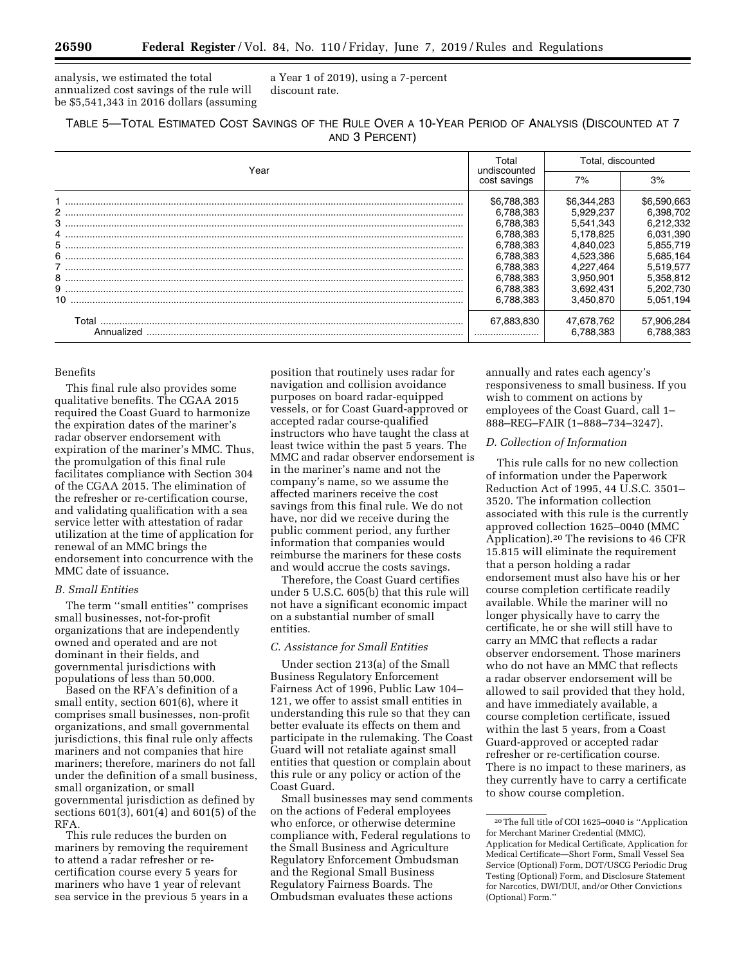analysis, we estimated the total annualized cost savings of the rule will be \$5,541,343 in 2016 dollars (assuming a Year 1 of 2019), using a 7-percent discount rate.

| TABLE 5-TOTAL ESTIMATED COST SAVINGS OF THE RULE OVER A 10-YEAR PERIOD OF ANALYSIS (DISCOUNTED AT 7 |
|-----------------------------------------------------------------------------------------------------|
| AND 3 PERCENT)                                                                                      |

| Year                                                                                                                                                                                                                                                                                                                                                                                                             | Total<br>undiscounted<br>cost savings | Total, discounted      |                        |
|------------------------------------------------------------------------------------------------------------------------------------------------------------------------------------------------------------------------------------------------------------------------------------------------------------------------------------------------------------------------------------------------------------------|---------------------------------------|------------------------|------------------------|
|                                                                                                                                                                                                                                                                                                                                                                                                                  |                                       | 7%                     | 3%                     |
|                                                                                                                                                                                                                                                                                                                                                                                                                  | \$6,788,383                           | \$6,344,283            | \$6,590,663            |
|                                                                                                                                                                                                                                                                                                                                                                                                                  | 6.788.383                             | 5,929,237              | 6,398,702              |
| $3 \hskip 1.5mm \ldots \hskip 1.5mm \ldots \hskip 1.5mm \ldots \hskip 1.5mm \ldots \hskip 1.5mm \ldots \hskip 1.5mm \ldots \hskip 1.5mm \ldots \hskip 1.5mm \ldots \hskip 1.5mm \ldots \hskip 1.5mm \ldots \hskip 1.5mm \ldots \hskip 1.5mm \ldots \hskip 1.5mm \ldots \hskip 1.5mm \ldots \hskip 1.5mm \ldots \hskip 1.5mm \ldots \hskip 1.5mm \ldots \hskip 1.5mm \ldots \hskip 1.5mm \ldots \hskip 1.5mm \ld$ | 6.788.383<br>6.788.383                | 5,541,343<br>5.178.825 | 6,212,332<br>6,031,390 |
|                                                                                                                                                                                                                                                                                                                                                                                                                  | 6.788.383                             | 4.840.023              | 5.855.719              |
|                                                                                                                                                                                                                                                                                                                                                                                                                  | 6.788.383                             | 4,523,386              | 5,685,164              |
|                                                                                                                                                                                                                                                                                                                                                                                                                  | 6.788.383                             | 4.227.464              | 5.519.577              |
|                                                                                                                                                                                                                                                                                                                                                                                                                  | 6.788.383                             | 3.950.901              | 5.358.812              |
| $9\hspace*{10.5mm} \ldots \hspace*{10.5mm} \ldots \hspace*{10.5mm} \ldots \hspace*{10.5mm} \ldots \hspace*{10.5mm} \ldots \hspace*{10.5mm} \ldots \hspace*{10.5mm} \ldots \hspace*{10.5mm} \ldots \hspace*{10.5mm} \ldots \hspace*{10.5mm} \ldots \hspace*{10.5mm} \ldots \hspace*{10.5mm} \ldots \hspace*{10.5mm} \ldots \hspace*{10.5mm} \ldots \hspace*{10.5mm} \ldots \hspace*{10.5$                         | 6.788.383                             | 3.692.431              | 5,202,730              |
|                                                                                                                                                                                                                                                                                                                                                                                                                  | 6.788.383                             | 3,450,870              | 5,051,194              |
| Total                                                                                                                                                                                                                                                                                                                                                                                                            | 67,883,830                            | 47,678,762             | 57,906,284             |
| Annualized                                                                                                                                                                                                                                                                                                                                                                                                       |                                       | 6,788,383              | 6.788.383              |

#### Benefits

This final rule also provides some qualitative benefits. The CGAA 2015 required the Coast Guard to harmonize the expiration dates of the mariner's radar observer endorsement with expiration of the mariner's MMC. Thus, the promulgation of this final rule facilitates compliance with Section 304 of the CGAA 2015. The elimination of the refresher or re-certification course, and validating qualification with a sea service letter with attestation of radar utilization at the time of application for renewal of an MMC brings the endorsement into concurrence with the MMC date of issuance.

#### *B. Small Entities*

The term ''small entities'' comprises small businesses, not-for-profit organizations that are independently owned and operated and are not dominant in their fields, and governmental jurisdictions with populations of less than 50,000.

Based on the RFA's definition of a small entity, section 601(6), where it comprises small businesses, non-profit organizations, and small governmental jurisdictions, this final rule only affects mariners and not companies that hire mariners; therefore, mariners do not fall under the definition of a small business, small organization, or small governmental jurisdiction as defined by sections 601(3), 601(4) and 601(5) of the RFA.

This rule reduces the burden on mariners by removing the requirement to attend a radar refresher or recertification course every 5 years for mariners who have 1 year of relevant sea service in the previous 5 years in a

position that routinely uses radar for navigation and collision avoidance purposes on board radar-equipped vessels, or for Coast Guard-approved or accepted radar course-qualified instructors who have taught the class at least twice within the past 5 years. The MMC and radar observer endorsement is in the mariner's name and not the company's name, so we assume the affected mariners receive the cost savings from this final rule. We do not have, nor did we receive during the public comment period, any further information that companies would reimburse the mariners for these costs and would accrue the costs savings.

Therefore, the Coast Guard certifies under 5 U.S.C. 605(b) that this rule will not have a significant economic impact on a substantial number of small entities.

#### *C. Assistance for Small Entities*

Under section 213(a) of the Small Business Regulatory Enforcement Fairness Act of 1996, Public Law 104– 121, we offer to assist small entities in understanding this rule so that they can better evaluate its effects on them and participate in the rulemaking. The Coast Guard will not retaliate against small entities that question or complain about this rule or any policy or action of the Coast Guard.

Small businesses may send comments on the actions of Federal employees who enforce, or otherwise determine compliance with, Federal regulations to the Small Business and Agriculture Regulatory Enforcement Ombudsman and the Regional Small Business Regulatory Fairness Boards. The Ombudsman evaluates these actions

annually and rates each agency's responsiveness to small business. If you wish to comment on actions by employees of the Coast Guard, call 1– 888–REG–FAIR (1–888–734–3247).

## *D. Collection of Information*

This rule calls for no new collection of information under the Paperwork Reduction Act of 1995, 44 U.S.C. 3501– 3520. The information collection associated with this rule is the currently approved collection 1625–0040 (MMC Application).20 The revisions to 46 CFR 15.815 will eliminate the requirement that a person holding a radar endorsement must also have his or her course completion certificate readily available. While the mariner will no longer physically have to carry the certificate, he or she will still have to carry an MMC that reflects a radar observer endorsement. Those mariners who do not have an MMC that reflects a radar observer endorsement will be allowed to sail provided that they hold, and have immediately available, a course completion certificate, issued within the last 5 years, from a Coast Guard-approved or accepted radar refresher or re-certification course. There is no impact to these mariners, as they currently have to carry a certificate to show course completion.

<sup>20</sup>The full title of COI 1625–0040 is ''Application for Merchant Mariner Credential (MMC),

Application for Medical Certificate, Application for Medical Certificate—Short Form, Small Vessel Sea Service (Optional) Form, DOT/USCG Periodic Drug Testing (Optional) Form, and Disclosure Statement for Narcotics, DWI/DUI, and/or Other Convictions (Optional) Form.''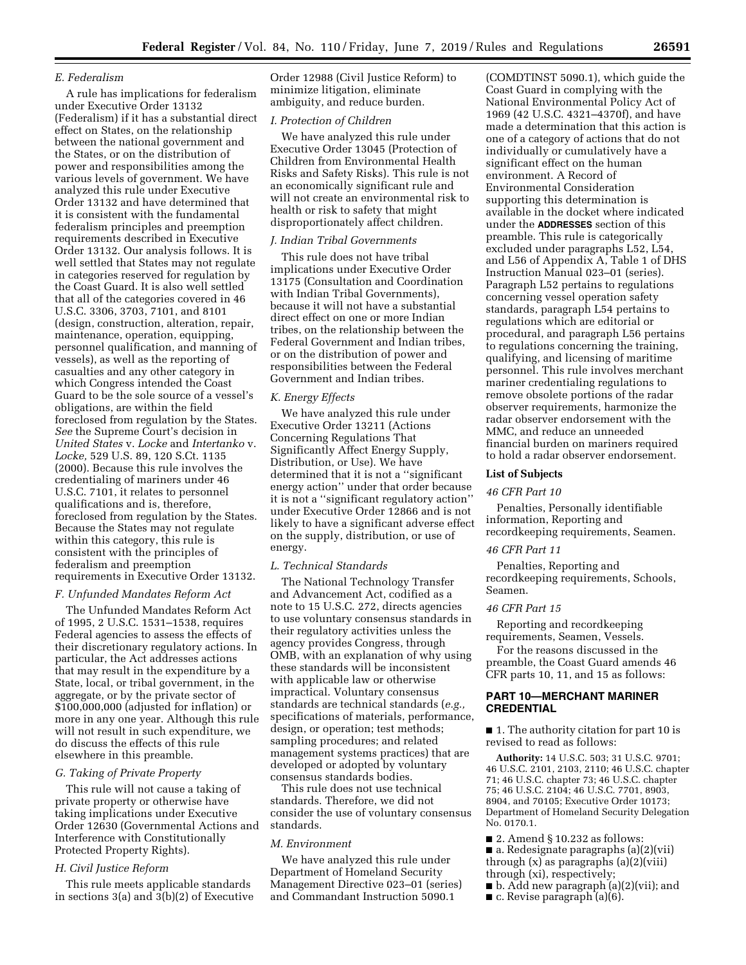#### *E. Federalism*

A rule has implications for federalism under Executive Order 13132 (Federalism) if it has a substantial direct effect on States, on the relationship between the national government and the States, or on the distribution of power and responsibilities among the various levels of government. We have analyzed this rule under Executive Order 13132 and have determined that it is consistent with the fundamental federalism principles and preemption requirements described in Executive Order 13132. Our analysis follows. It is well settled that States may not regulate in categories reserved for regulation by the Coast Guard. It is also well settled that all of the categories covered in 46 U.S.C. 3306, 3703, 7101, and 8101 (design, construction, alteration, repair, maintenance, operation, equipping, personnel qualification, and manning of vessels), as well as the reporting of casualties and any other category in which Congress intended the Coast Guard to be the sole source of a vessel's obligations, are within the field foreclosed from regulation by the States. *See* the Supreme Court's decision in *United States* v. *Locke* and *Intertanko* v. *Locke,* 529 U.S. 89, 120 S.Ct. 1135 (2000). Because this rule involves the credentialing of mariners under 46 U.S.C. 7101, it relates to personnel qualifications and is, therefore, foreclosed from regulation by the States. Because the States may not regulate within this category, this rule is consistent with the principles of federalism and preemption requirements in Executive Order 13132.

#### *F. Unfunded Mandates Reform Act*

The Unfunded Mandates Reform Act of 1995, 2 U.S.C. 1531–1538, requires Federal agencies to assess the effects of their discretionary regulatory actions. In particular, the Act addresses actions that may result in the expenditure by a State, local, or tribal government, in the aggregate, or by the private sector of \$100,000,000 (adjusted for inflation) or more in any one year. Although this rule will not result in such expenditure, we do discuss the effects of this rule elsewhere in this preamble.

#### *G. Taking of Private Property*

This rule will not cause a taking of private property or otherwise have taking implications under Executive Order 12630 (Governmental Actions and Interference with Constitutionally Protected Property Rights).

## *H. Civil Justice Reform*

This rule meets applicable standards in sections 3(a) and 3(b)(2) of Executive Order 12988 (Civil Justice Reform) to minimize litigation, eliminate ambiguity, and reduce burden.

#### *I. Protection of Children*

We have analyzed this rule under Executive Order 13045 (Protection of Children from Environmental Health Risks and Safety Risks). This rule is not an economically significant rule and will not create an environmental risk to health or risk to safety that might disproportionately affect children.

#### *J. Indian Tribal Governments*

This rule does not have tribal implications under Executive Order 13175 (Consultation and Coordination with Indian Tribal Governments), because it will not have a substantial direct effect on one or more Indian tribes, on the relationship between the Federal Government and Indian tribes, or on the distribution of power and responsibilities between the Federal Government and Indian tribes.

#### *K. Energy Effects*

We have analyzed this rule under Executive Order 13211 (Actions Concerning Regulations That Significantly Affect Energy Supply, Distribution, or Use). We have determined that it is not a ''significant energy action'' under that order because it is not a ''significant regulatory action'' under Executive Order 12866 and is not likely to have a significant adverse effect on the supply, distribution, or use of energy.

#### *L. Technical Standards*

The National Technology Transfer and Advancement Act, codified as a note to 15 U.S.C. 272, directs agencies to use voluntary consensus standards in their regulatory activities unless the agency provides Congress, through OMB, with an explanation of why using these standards will be inconsistent with applicable law or otherwise impractical. Voluntary consensus standards are technical standards (*e.g.,*  specifications of materials, performance, design, or operation; test methods; sampling procedures; and related management systems practices) that are developed or adopted by voluntary consensus standards bodies.

This rule does not use technical standards. Therefore, we did not consider the use of voluntary consensus standards.

#### *M. Environment*

We have analyzed this rule under Department of Homeland Security Management Directive 023–01 (series) and Commandant Instruction 5090.1

(COMDTINST 5090.1), which guide the Coast Guard in complying with the National Environmental Policy Act of 1969 (42 U.S.C. 4321–4370f), and have made a determination that this action is one of a category of actions that do not individually or cumulatively have a significant effect on the human environment. A Record of Environmental Consideration supporting this determination is available in the docket where indicated under the **ADDRESSES** section of this preamble. This rule is categorically excluded under paragraphs L52, L54, and L56 of Appendix A, Table 1 of DHS Instruction Manual 023–01 (series). Paragraph L52 pertains to regulations concerning vessel operation safety standards, paragraph L54 pertains to regulations which are editorial or procedural, and paragraph L56 pertains to regulations concerning the training, qualifying, and licensing of maritime personnel. This rule involves merchant mariner credentialing regulations to remove obsolete portions of the radar observer requirements, harmonize the radar observer endorsement with the MMC, and reduce an unneeded financial burden on mariners required to hold a radar observer endorsement.

#### **List of Subjects**

#### *46 CFR Part 10*

Penalties, Personally identifiable information, Reporting and recordkeeping requirements, Seamen.

#### *46 CFR Part 11*

Penalties, Reporting and recordkeeping requirements, Schools, Seamen.

#### *46 CFR Part 15*

Reporting and recordkeeping requirements, Seamen, Vessels.

For the reasons discussed in the preamble, the Coast Guard amends 46 CFR parts 10, 11, and 15 as follows:

# **PART 10—MERCHANT MARINER CREDENTIAL**

■ 1. The authority citation for part 10 is revised to read as follows:

**Authority:** 14 U.S.C. 503; 31 U.S.C. 9701; 46 U.S.C. 2101, 2103, 2110; 46 U.S.C. chapter 71; 46 U.S.C. chapter 73; 46 U.S.C. chapter 75; 46 U.S.C. 2104; 46 U.S.C. 7701, 8903, 8904, and 70105; Executive Order 10173; Department of Homeland Security Delegation No. 0170.1.

- $\blacksquare$  2. Amend § 10.232 as follows:
- a. Redesignate paragraphs (a)(2)(vii) through  $(x)$  as paragraphs  $(a)(2)(viii)$ through (xi), respectively;
- b. Add new paragraph (a)(2)(vii); and
- c. Revise paragraph (a)(6).